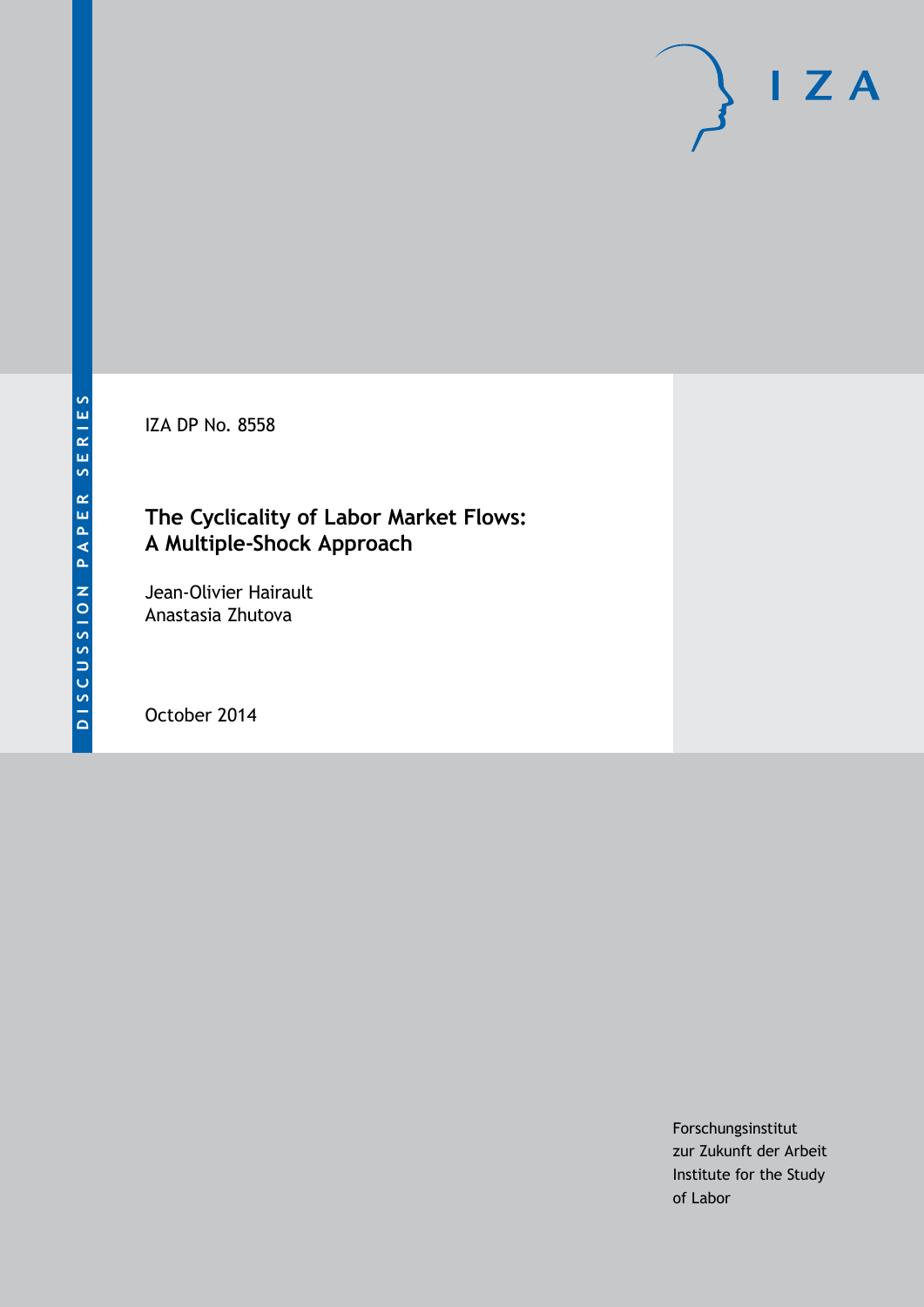IZA DP No. 8558

# **The Cyclicality of Labor Market Flows: A Multiple-Shock Approach**

Jean-Olivier Hairault Anastasia Zhutova

October 2014

Forschungsinstitut zur Zukunft der Arbeit Institute for the Study of Labor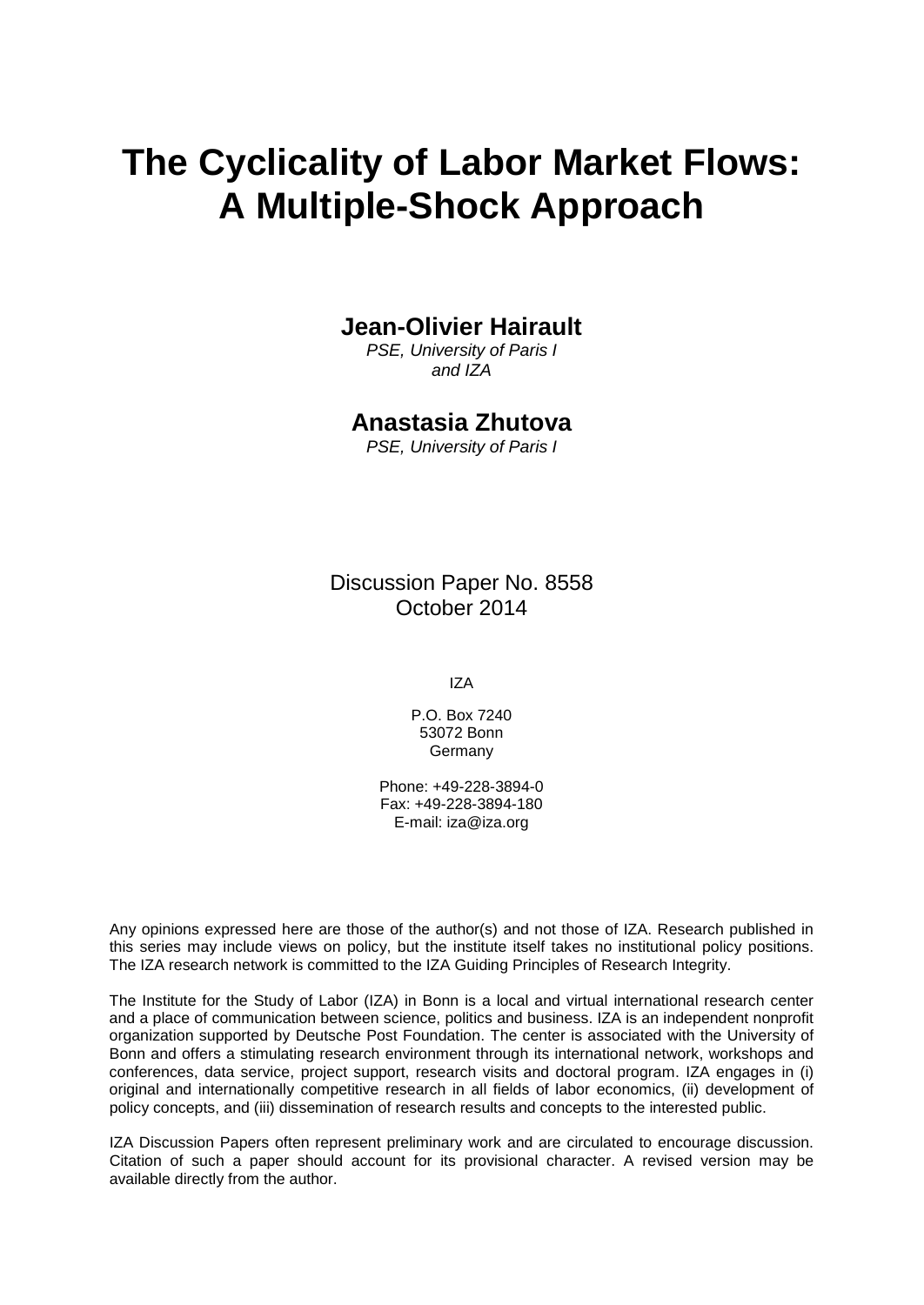# **The Cyclicality of Labor Market Flows: A Multiple-Shock Approach**

## **Jean-Olivier Hairault**

*PSE, University of Paris I and IZA*

### **Anastasia Zhutova**

*PSE, University of Paris I*

Discussion Paper No. 8558 October 2014

IZA

P.O. Box 7240 53072 Bonn Germany

Phone: +49-228-3894-0 Fax: +49-228-3894-180 E-mail: [iza@iza.org](mailto:iza@iza.org)

Any opinions expressed here are those of the author(s) and not those of IZA. Research published in this series may include views on policy, but the institute itself takes no institutional policy positions. The IZA research network is committed to the IZA Guiding Principles of Research Integrity.

The Institute for the Study of Labor (IZA) in Bonn is a local and virtual international research center and a place of communication between science, politics and business. IZA is an independent nonprofit organization supported by Deutsche Post Foundation. The center is associated with the University of Bonn and offers a stimulating research environment through its international network, workshops and conferences, data service, project support, research visits and doctoral program. IZA engages in (i) original and internationally competitive research in all fields of labor economics, (ii) development of policy concepts, and (iii) dissemination of research results and concepts to the interested public.

IZA Discussion Papers often represent preliminary work and are circulated to encourage discussion. Citation of such a paper should account for its provisional character. A revised version may be available directly from the author.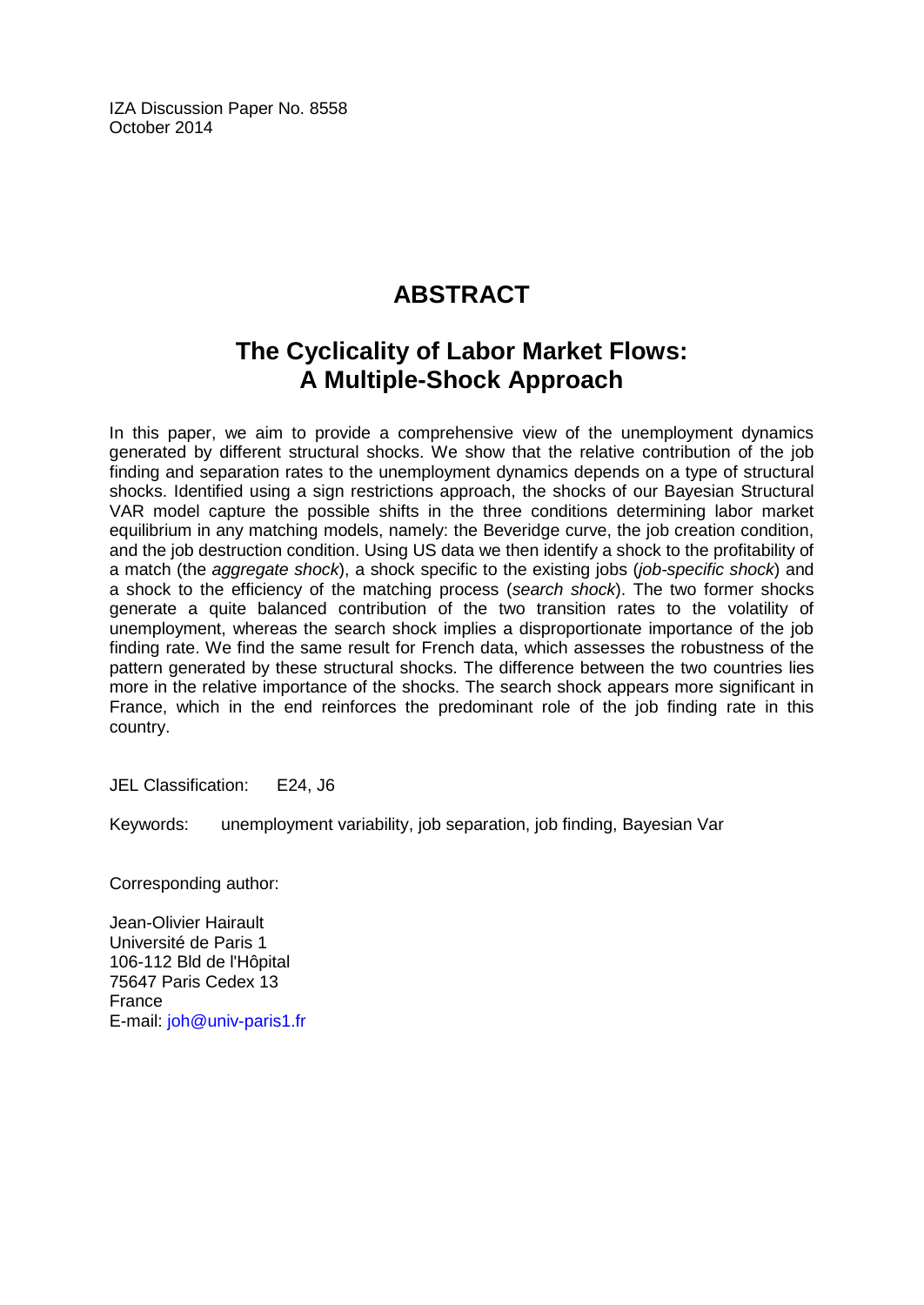IZA Discussion Paper No. 8558 October 2014

# **ABSTRACT**

# **The Cyclicality of Labor Market Flows: A Multiple-Shock Approach**

In this paper, we aim to provide a comprehensive view of the unemployment dynamics generated by different structural shocks. We show that the relative contribution of the job finding and separation rates to the unemployment dynamics depends on a type of structural shocks. Identified using a sign restrictions approach, the shocks of our Bayesian Structural VAR model capture the possible shifts in the three conditions determining labor market equilibrium in any matching models, namely: the Beveridge curve, the job creation condition, and the job destruction condition. Using US data we then identify a shock to the profitability of a match (the *aggregate shock*), a shock specific to the existing jobs (*job-specific shock*) and a shock to the efficiency of the matching process (*search shock*). The two former shocks generate a quite balanced contribution of the two transition rates to the volatility of unemployment, whereas the search shock implies a disproportionate importance of the job finding rate. We find the same result for French data, which assesses the robustness of the pattern generated by these structural shocks. The difference between the two countries lies more in the relative importance of the shocks. The search shock appears more significant in France, which in the end reinforces the predominant role of the job finding rate in this country.

JEL Classification: E24, J6

Keywords: unemployment variability, job separation, job finding, Bayesian Var

Corresponding author:

Jean-Olivier Hairault Université de Paris 1 106-112 Bld de l'Hôpital 75647 Paris Cedex 13 France E-mail: [joh@univ-paris1.fr](mailto:joh@univ-paris1.fr)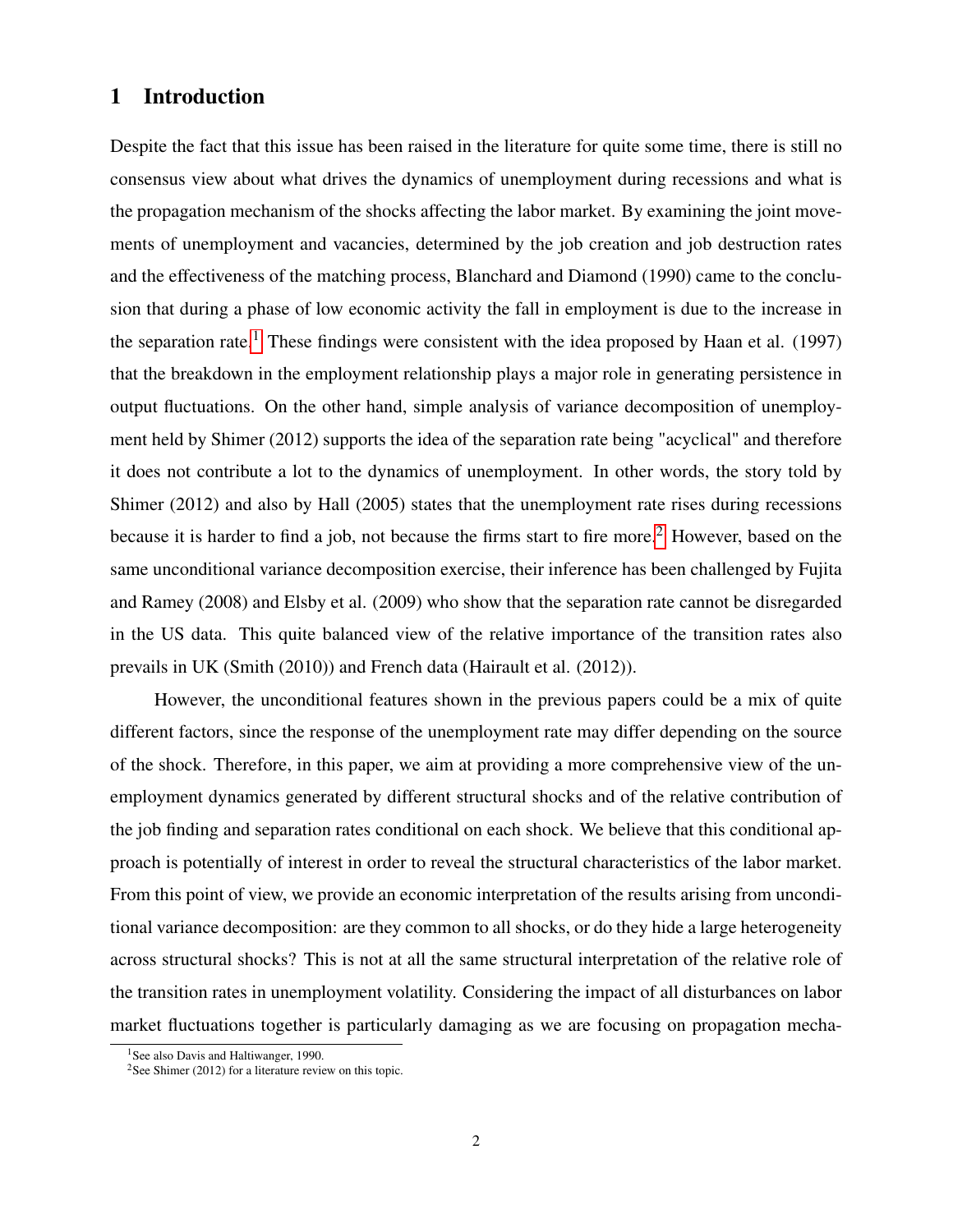### 1 Introduction

Despite the fact that this issue has been raised in the literature for quite some time, there is still no consensus view about what drives the dynamics of unemployment during recessions and what is the propagation mechanism of the shocks affecting the labor market. By examining the joint movements of unemployment and vacancies, determined by the job creation and job destruction rates and the effectiveness of the matching process, Blanchard and Diamond (1990) came to the conclusion that during a phase of low economic activity the fall in employment is due to the increase in the separation rate.<sup>[1](#page-3-0)</sup> These findings were consistent with the idea proposed by Haan et al. (1997) that the breakdown in the employment relationship plays a major role in generating persistence in output fluctuations. On the other hand, simple analysis of variance decomposition of unemployment held by Shimer (2012) supports the idea of the separation rate being "acyclical" and therefore it does not contribute a lot to the dynamics of unemployment. In other words, the story told by Shimer (2012) and also by Hall (2005) states that the unemployment rate rises during recessions because it is harder to find a job, not because the firms start to fire more.<sup>[2](#page-3-1)</sup> However, based on the same unconditional variance decomposition exercise, their inference has been challenged by Fujita and Ramey (2008) and Elsby et al. (2009) who show that the separation rate cannot be disregarded in the US data. This quite balanced view of the relative importance of the transition rates also prevails in UK (Smith (2010)) and French data (Hairault et al. (2012)).

However, the unconditional features shown in the previous papers could be a mix of quite different factors, since the response of the unemployment rate may differ depending on the source of the shock. Therefore, in this paper, we aim at providing a more comprehensive view of the unemployment dynamics generated by different structural shocks and of the relative contribution of the job finding and separation rates conditional on each shock. We believe that this conditional approach is potentially of interest in order to reveal the structural characteristics of the labor market. From this point of view, we provide an economic interpretation of the results arising from unconditional variance decomposition: are they common to all shocks, or do they hide a large heterogeneity across structural shocks? This is not at all the same structural interpretation of the relative role of the transition rates in unemployment volatility. Considering the impact of all disturbances on labor market fluctuations together is particularly damaging as we are focusing on propagation mecha-

<span id="page-3-0"></span><sup>&</sup>lt;sup>1</sup>See also Davis and Haltiwanger, 1990.

<span id="page-3-1"></span> $2$ See Shimer (2012) for a literature review on this topic.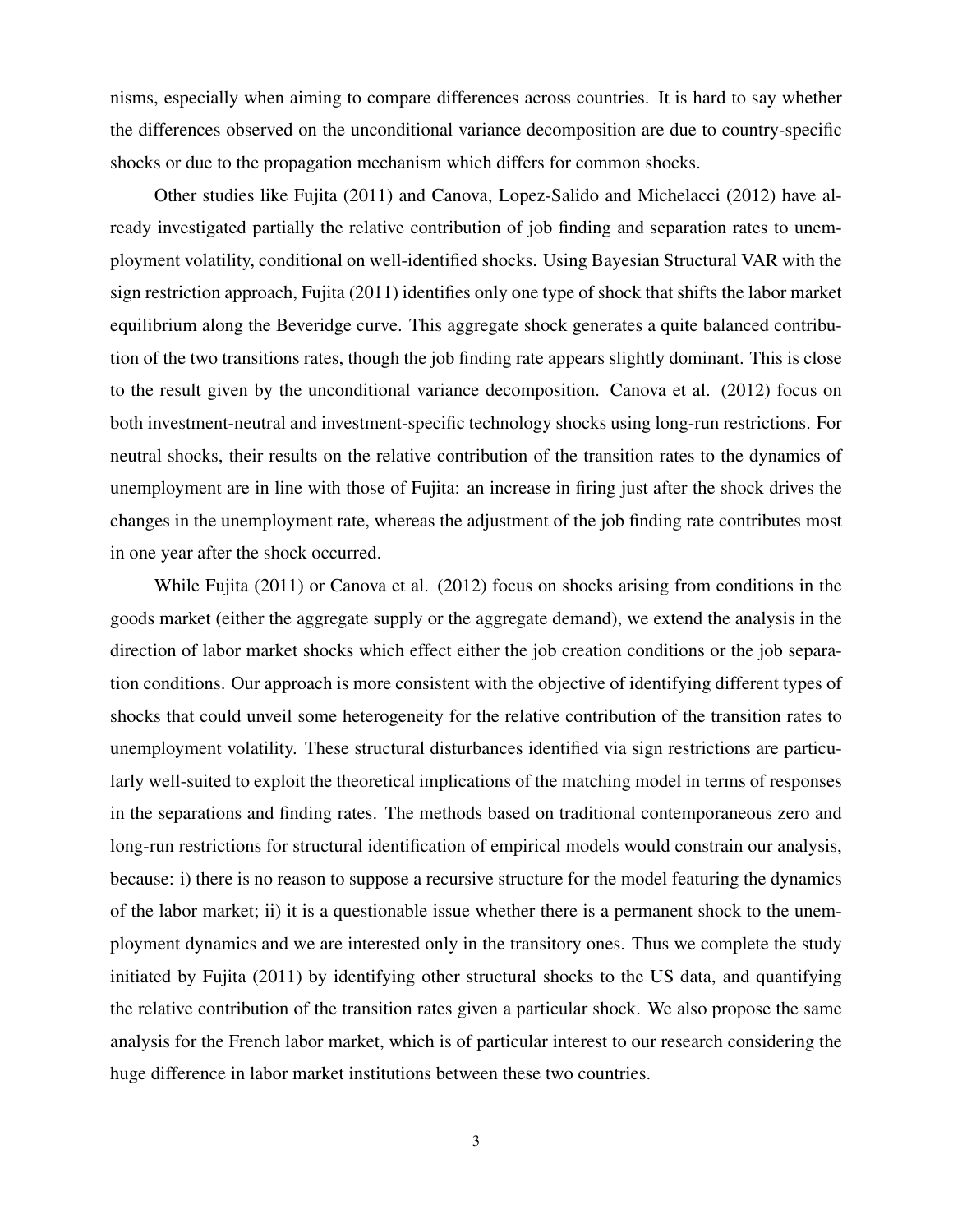nisms, especially when aiming to compare differences across countries. It is hard to say whether the differences observed on the unconditional variance decomposition are due to country-specific shocks or due to the propagation mechanism which differs for common shocks.

Other studies like Fujita (2011) and Canova, Lopez-Salido and Michelacci (2012) have already investigated partially the relative contribution of job finding and separation rates to unemployment volatility, conditional on well-identified shocks. Using Bayesian Structural VAR with the sign restriction approach, Fujita (2011) identifies only one type of shock that shifts the labor market equilibrium along the Beveridge curve. This aggregate shock generates a quite balanced contribution of the two transitions rates, though the job finding rate appears slightly dominant. This is close to the result given by the unconditional variance decomposition. Canova et al. (2012) focus on both investment-neutral and investment-specific technology shocks using long-run restrictions. For neutral shocks, their results on the relative contribution of the transition rates to the dynamics of unemployment are in line with those of Fujita: an increase in firing just after the shock drives the changes in the unemployment rate, whereas the adjustment of the job finding rate contributes most in one year after the shock occurred.

While Fujita (2011) or Canova et al. (2012) focus on shocks arising from conditions in the goods market (either the aggregate supply or the aggregate demand), we extend the analysis in the direction of labor market shocks which effect either the job creation conditions or the job separation conditions. Our approach is more consistent with the objective of identifying different types of shocks that could unveil some heterogeneity for the relative contribution of the transition rates to unemployment volatility. These structural disturbances identified via sign restrictions are particularly well-suited to exploit the theoretical implications of the matching model in terms of responses in the separations and finding rates. The methods based on traditional contemporaneous zero and long-run restrictions for structural identification of empirical models would constrain our analysis, because: i) there is no reason to suppose a recursive structure for the model featuring the dynamics of the labor market; ii) it is a questionable issue whether there is a permanent shock to the unemployment dynamics and we are interested only in the transitory ones. Thus we complete the study initiated by Fujita (2011) by identifying other structural shocks to the US data, and quantifying the relative contribution of the transition rates given a particular shock. We also propose the same analysis for the French labor market, which is of particular interest to our research considering the huge difference in labor market institutions between these two countries.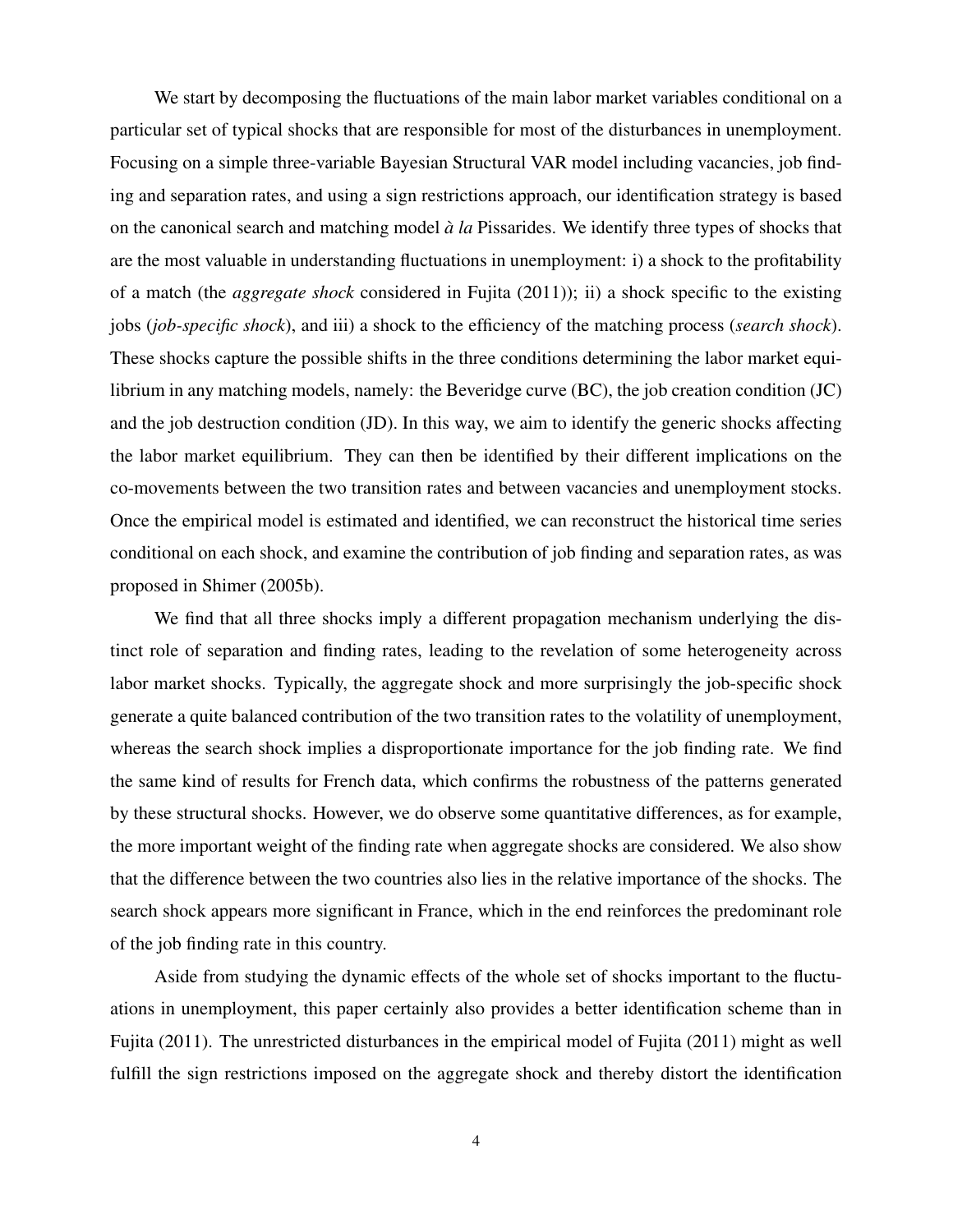We start by decomposing the fluctuations of the main labor market variables conditional on a particular set of typical shocks that are responsible for most of the disturbances in unemployment. Focusing on a simple three-variable Bayesian Structural VAR model including vacancies, job finding and separation rates, and using a sign restrictions approach, our identification strategy is based on the canonical search and matching model `*a la* Pissarides. We identify three types of shocks that are the most valuable in understanding fluctuations in unemployment: i) a shock to the profitability of a match (the *aggregate shock* considered in Fujita (2011)); ii) a shock specific to the existing jobs (*job-specific shock*), and iii) a shock to the efficiency of the matching process (*search shock*). These shocks capture the possible shifts in the three conditions determining the labor market equilibrium in any matching models, namely: the Beveridge curve (BC), the job creation condition (JC) and the job destruction condition (JD). In this way, we aim to identify the generic shocks affecting the labor market equilibrium. They can then be identified by their different implications on the co-movements between the two transition rates and between vacancies and unemployment stocks. Once the empirical model is estimated and identified, we can reconstruct the historical time series conditional on each shock, and examine the contribution of job finding and separation rates, as was proposed in Shimer (2005b).

We find that all three shocks imply a different propagation mechanism underlying the distinct role of separation and finding rates, leading to the revelation of some heterogeneity across labor market shocks. Typically, the aggregate shock and more surprisingly the job-specific shock generate a quite balanced contribution of the two transition rates to the volatility of unemployment, whereas the search shock implies a disproportionate importance for the job finding rate. We find the same kind of results for French data, which confirms the robustness of the patterns generated by these structural shocks. However, we do observe some quantitative differences, as for example, the more important weight of the finding rate when aggregate shocks are considered. We also show that the difference between the two countries also lies in the relative importance of the shocks. The search shock appears more significant in France, which in the end reinforces the predominant role of the job finding rate in this country.

Aside from studying the dynamic effects of the whole set of shocks important to the fluctuations in unemployment, this paper certainly also provides a better identification scheme than in Fujita (2011). The unrestricted disturbances in the empirical model of Fujita (2011) might as well fulfill the sign restrictions imposed on the aggregate shock and thereby distort the identification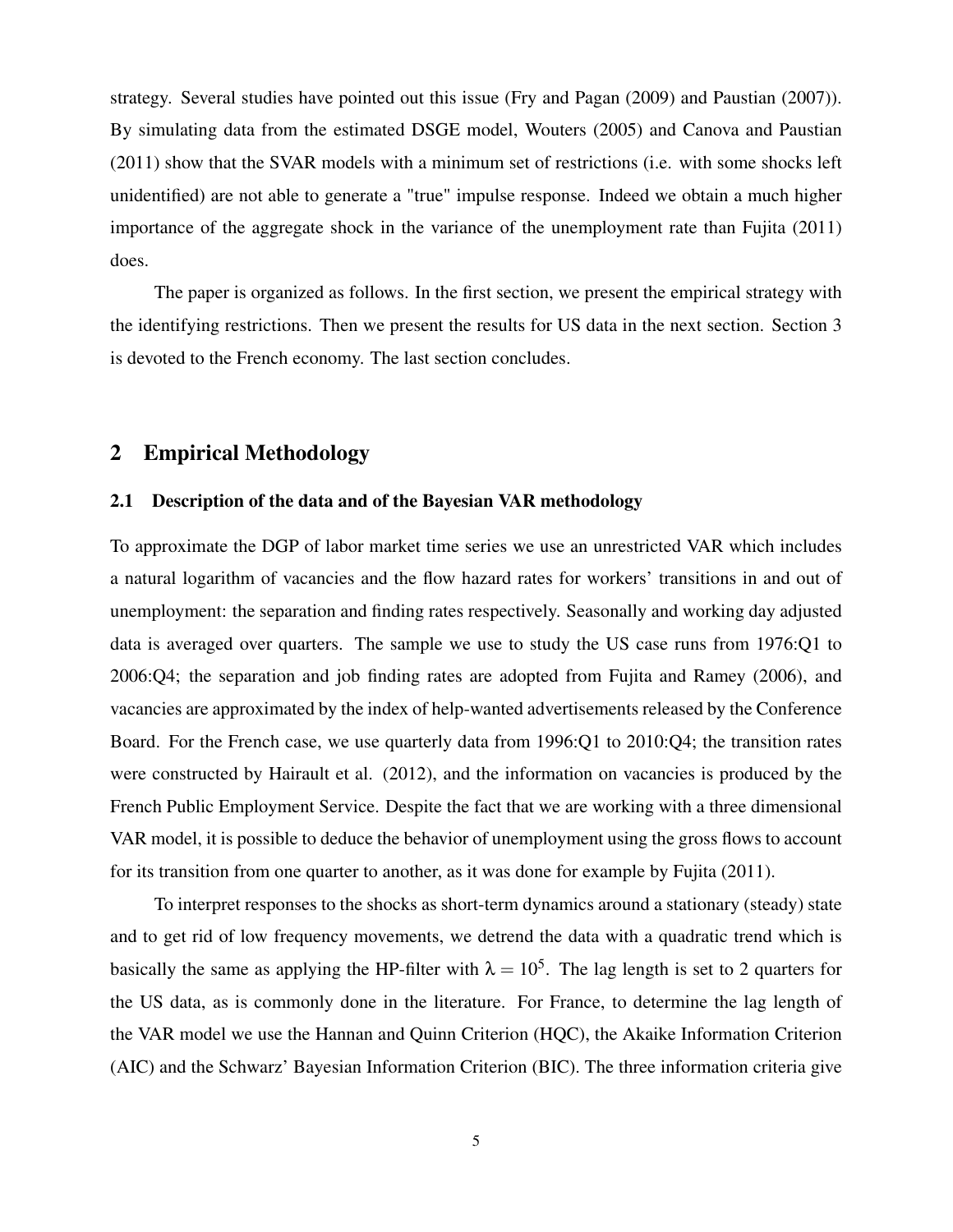strategy. Several studies have pointed out this issue (Fry and Pagan (2009) and Paustian (2007)). By simulating data from the estimated DSGE model, Wouters (2005) and Canova and Paustian (2011) show that the SVAR models with a minimum set of restrictions (i.e. with some shocks left unidentified) are not able to generate a "true" impulse response. Indeed we obtain a much higher importance of the aggregate shock in the variance of the unemployment rate than Fujita (2011) does.

The paper is organized as follows. In the first section, we present the empirical strategy with the identifying restrictions. Then we present the results for US data in the next section. Section 3 is devoted to the French economy. The last section concludes.

### 2 Empirical Methodology

#### 2.1 Description of the data and of the Bayesian VAR methodology

To approximate the DGP of labor market time series we use an unrestricted VAR which includes a natural logarithm of vacancies and the flow hazard rates for workers' transitions in and out of unemployment: the separation and finding rates respectively. Seasonally and working day adjusted data is averaged over quarters. The sample we use to study the US case runs from 1976:Q1 to 2006:Q4; the separation and job finding rates are adopted from Fujita and Ramey (2006), and vacancies are approximated by the index of help-wanted advertisements released by the Conference Board. For the French case, we use quarterly data from 1996:Q1 to 2010:Q4; the transition rates were constructed by Hairault et al. (2012), and the information on vacancies is produced by the French Public Employment Service. Despite the fact that we are working with a three dimensional VAR model, it is possible to deduce the behavior of unemployment using the gross flows to account for its transition from one quarter to another, as it was done for example by Fujita (2011).

To interpret responses to the shocks as short-term dynamics around a stationary (steady) state and to get rid of low frequency movements, we detrend the data with a quadratic trend which is basically the same as applying the HP-filter with  $\lambda = 10^5$ . The lag length is set to 2 quarters for the US data, as is commonly done in the literature. For France, to determine the lag length of the VAR model we use the Hannan and Quinn Criterion (HQC), the Akaike Information Criterion (AIC) and the Schwarz' Bayesian Information Criterion (BIC). The three information criteria give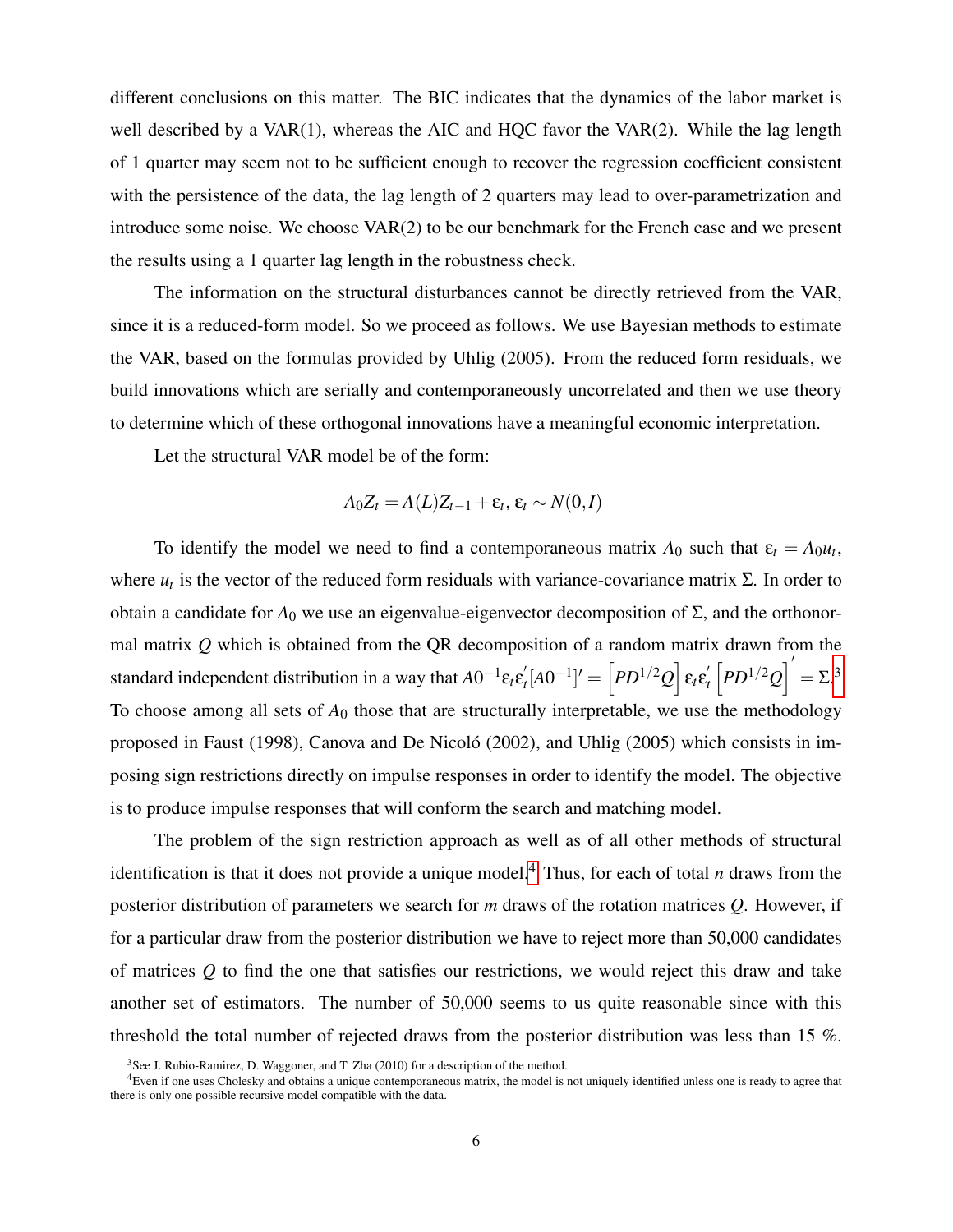different conclusions on this matter. The BIC indicates that the dynamics of the labor market is well described by a  $VAR(1)$ , whereas the AIC and HQC favor the VAR $(2)$ . While the lag length of 1 quarter may seem not to be sufficient enough to recover the regression coefficient consistent with the persistence of the data, the lag length of 2 quarters may lead to over-parametrization and introduce some noise. We choose VAR(2) to be our benchmark for the French case and we present the results using a 1 quarter lag length in the robustness check.

The information on the structural disturbances cannot be directly retrieved from the VAR, since it is a reduced-form model. So we proceed as follows. We use Bayesian methods to estimate the VAR, based on the formulas provided by Uhlig (2005). From the reduced form residuals, we build innovations which are serially and contemporaneously uncorrelated and then we use theory to determine which of these orthogonal innovations have a meaningful economic interpretation.

Let the structural VAR model be of the form:

$$
A_0Z_t = A(L)Z_{t-1} + \varepsilon_t, \varepsilon_t \sim N(0,I)
$$

To identify the model we need to find a contemporaneous matrix  $A_0$  such that  $\varepsilon_t = A_0 u_t$ , where  $u_t$  is the vector of the reduced form residuals with variance-covariance matrix  $\Sigma$ . In order to obtain a candidate for  $A_0$  we use an eigenvalue-eigenvector decomposition of Σ, and the orthonormal matrix *Q* which is obtained from the QR decomposition of a random matrix drawn from the standard independent distribution in a way that  $A0^{-1}\epsilon_{t}\epsilon_{t}^{'}$  $\mathcal{L}_t'[\text{A}0^{-1}]' = \left\lceil PD^{1/2}Q\right\rceil$  ε<sub>t</sub>ε $_t'$  $\int_{t}^{\prime} \left[ PD^{1/2}Q \right]^{'} = \Sigma^{3}$  $\int_{t}^{\prime} \left[ PD^{1/2}Q \right]^{'} = \Sigma^{3}$  $\int_{t}^{\prime} \left[ PD^{1/2}Q \right]^{'} = \Sigma^{3}$ To choose among all sets of  $A_0$  those that are structurally interpretable, we use the methodology proposed in Faust (1998), Canova and De Nicoló (2002), and Uhlig (2005) which consists in imposing sign restrictions directly on impulse responses in order to identify the model. The objective is to produce impulse responses that will conform the search and matching model.

The problem of the sign restriction approach as well as of all other methods of structural identification is that it does not provide a unique model.<sup>[4](#page-7-1)</sup> Thus, for each of total *n* draws from the posterior distribution of parameters we search for *m* draws of the rotation matrices *Q*. However, if for a particular draw from the posterior distribution we have to reject more than 50,000 candidates of matrices *Q* to find the one that satisfies our restrictions, we would reject this draw and take another set of estimators. The number of 50,000 seems to us quite reasonable since with this threshold the total number of rejected draws from the posterior distribution was less than 15 %.

<span id="page-7-1"></span><span id="page-7-0"></span> $3$ See J. Rubio-Ramirez, D. Waggoner, and T. Zha (2010) for a description of the method.

<sup>4</sup>Even if one uses Cholesky and obtains a unique contemporaneous matrix, the model is not uniquely identified unless one is ready to agree that there is only one possible recursive model compatible with the data.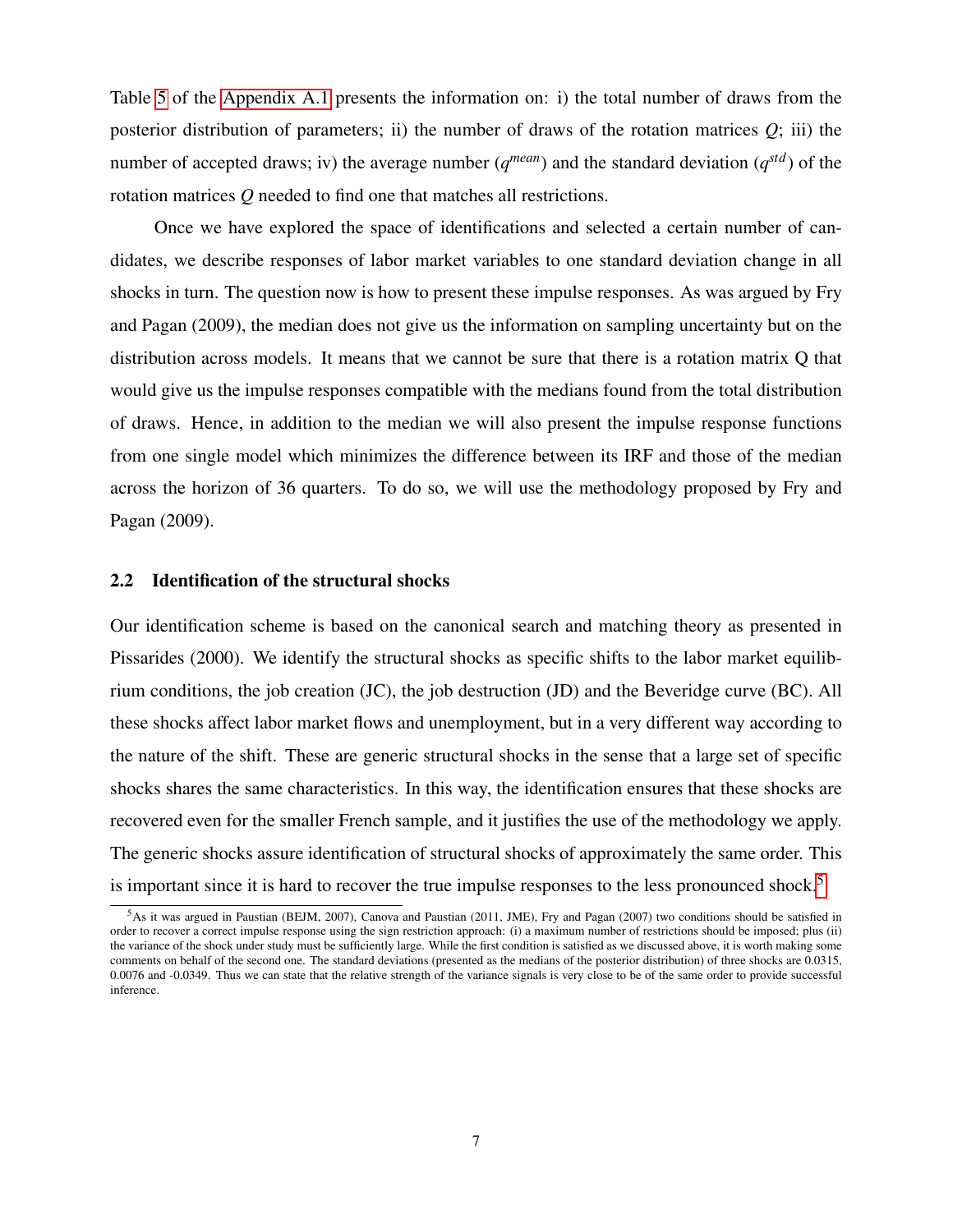Table [5](#page-25-0) of the [Appendix A.1](#page-25-1) presents the information on: i) the total number of draws from the posterior distribution of parameters; ii) the number of draws of the rotation matrices  $Q$ ; iii) the number of accepted draws; iv) the average number  $(q^{mean})$  and the standard deviation  $(q^{std})$  of the rotation matrices *Q* needed to find one that matches all restrictions.

Once we have explored the space of identifications and selected a certain number of candidates, we describe responses of labor market variables to one standard deviation change in all shocks in turn. The question now is how to present these impulse responses. As was argued by Fry and Pagan (2009), the median does not give us the information on sampling uncertainty but on the distribution across models. It means that we cannot be sure that there is a rotation matrix Q that would give us the impulse responses compatible with the medians found from the total distribution of draws. Hence, in addition to the median we will also present the impulse response functions from one single model which minimizes the difference between its IRF and those of the median across the horizon of 36 quarters. To do so, we will use the methodology proposed by Fry and Pagan (2009).

#### 2.2 Identification of the structural shocks

Our identification scheme is based on the canonical search and matching theory as presented in Pissarides (2000). We identify the structural shocks as specific shifts to the labor market equilibrium conditions, the job creation (JC), the job destruction (JD) and the Beveridge curve (BC). All these shocks affect labor market flows and unemployment, but in a very different way according to the nature of the shift. These are generic structural shocks in the sense that a large set of specific shocks shares the same characteristics. In this way, the identification ensures that these shocks are recovered even for the smaller French sample, and it justifies the use of the methodology we apply. The generic shocks assure identification of structural shocks of approximately the same order. This is important since it is hard to recover the true impulse responses to the less pronounced shock.<sup>[5](#page-8-0)</sup>

<span id="page-8-0"></span><sup>5</sup>As it was argued in Paustian (BEJM, 2007), Canova and Paustian (2011, JME), Fry and Pagan (2007) two conditions should be satisfied in order to recover a correct impulse response using the sign restriction approach: (i) a maximum number of restrictions should be imposed; plus (ii) the variance of the shock under study must be sufficiently large. While the first condition is satisfied as we discussed above, it is worth making some comments on behalf of the second one. The standard deviations (presented as the medians of the posterior distribution) of three shocks are 0.0315, 0.0076 and -0.0349. Thus we can state that the relative strength of the variance signals is very close to be of the same order to provide successful inference.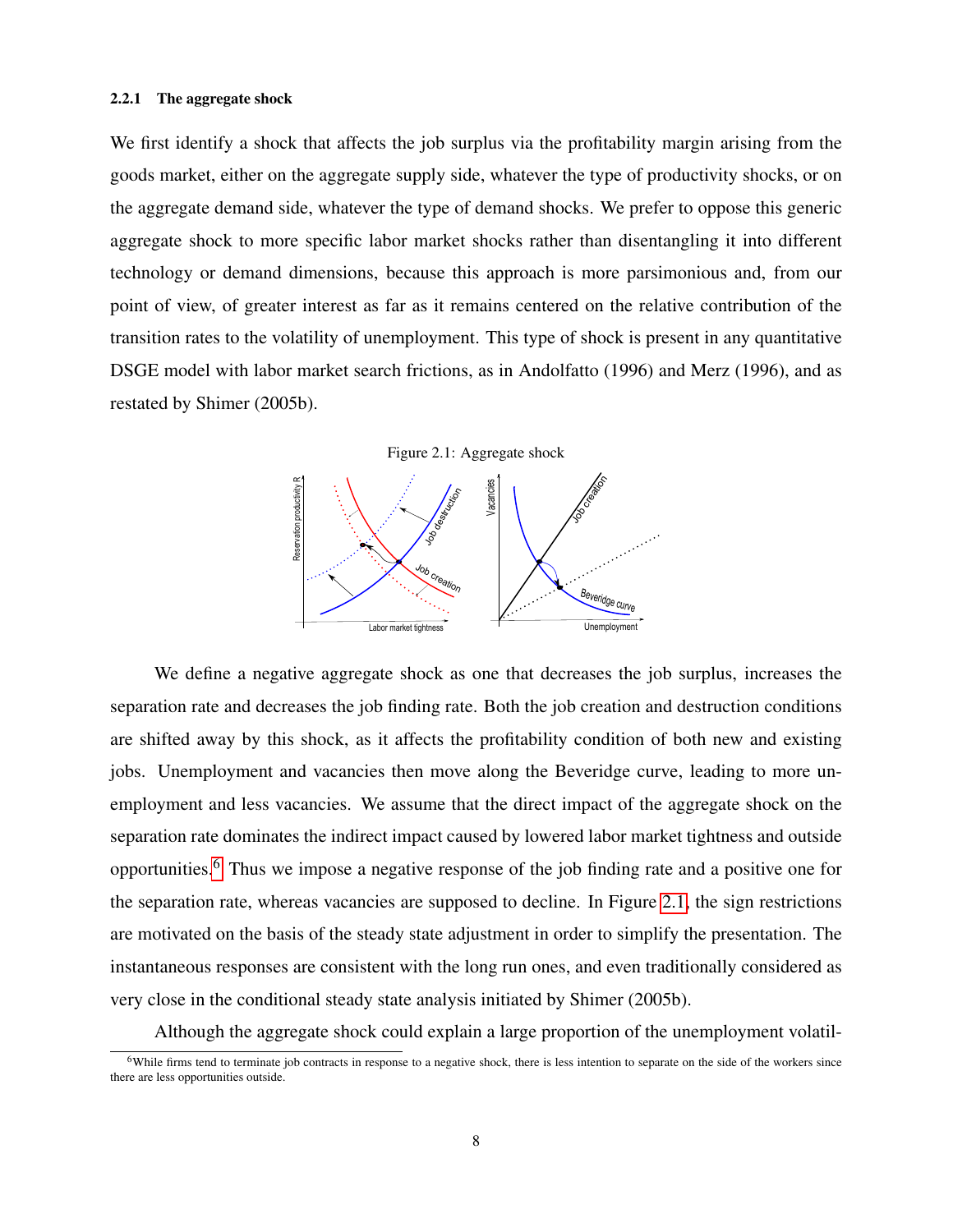#### 2.2.1 The aggregate shock

We first identify a shock that affects the job surplus via the profitability margin arising from the goods market, either on the aggregate supply side, whatever the type of productivity shocks, or on the aggregate demand side, whatever the type of demand shocks. We prefer to oppose this generic aggregate shock to more specific labor market shocks rather than disentangling it into different technology or demand dimensions, because this approach is more parsimonious and, from our point of view, of greater interest as far as it remains centered on the relative contribution of the transition rates to the volatility of unemployment. This type of shock is present in any quantitative DSGE model with labor market search frictions, as in Andolfatto (1996) and Merz (1996), and as restated by Shimer (2005b).



<span id="page-9-1"></span>

We define a negative aggregate shock as one that decreases the job surplus, increases the separation rate and decreases the job finding rate. Both the job creation and destruction conditions are shifted away by this shock, as it affects the profitability condition of both new and existing jobs. Unemployment and vacancies then move along the Beveridge curve, leading to more unemployment and less vacancies. We assume that the direct impact of the aggregate shock on the separation rate dominates the indirect impact caused by lowered labor market tightness and outside opportunities.[6](#page-9-0) Thus we impose a negative response of the job finding rate and a positive one for the separation rate, whereas vacancies are supposed to decline. In Figure [2.1,](#page-9-1) the sign restrictions are motivated on the basis of the steady state adjustment in order to simplify the presentation. The instantaneous responses are consistent with the long run ones, and even traditionally considered as very close in the conditional steady state analysis initiated by Shimer (2005b).

Although the aggregate shock could explain a large proportion of the unemployment volatil-

<span id="page-9-0"></span> $6$ While firms tend to terminate job contracts in response to a negative shock, there is less intention to separate on the side of the workers since there are less opportunities outside.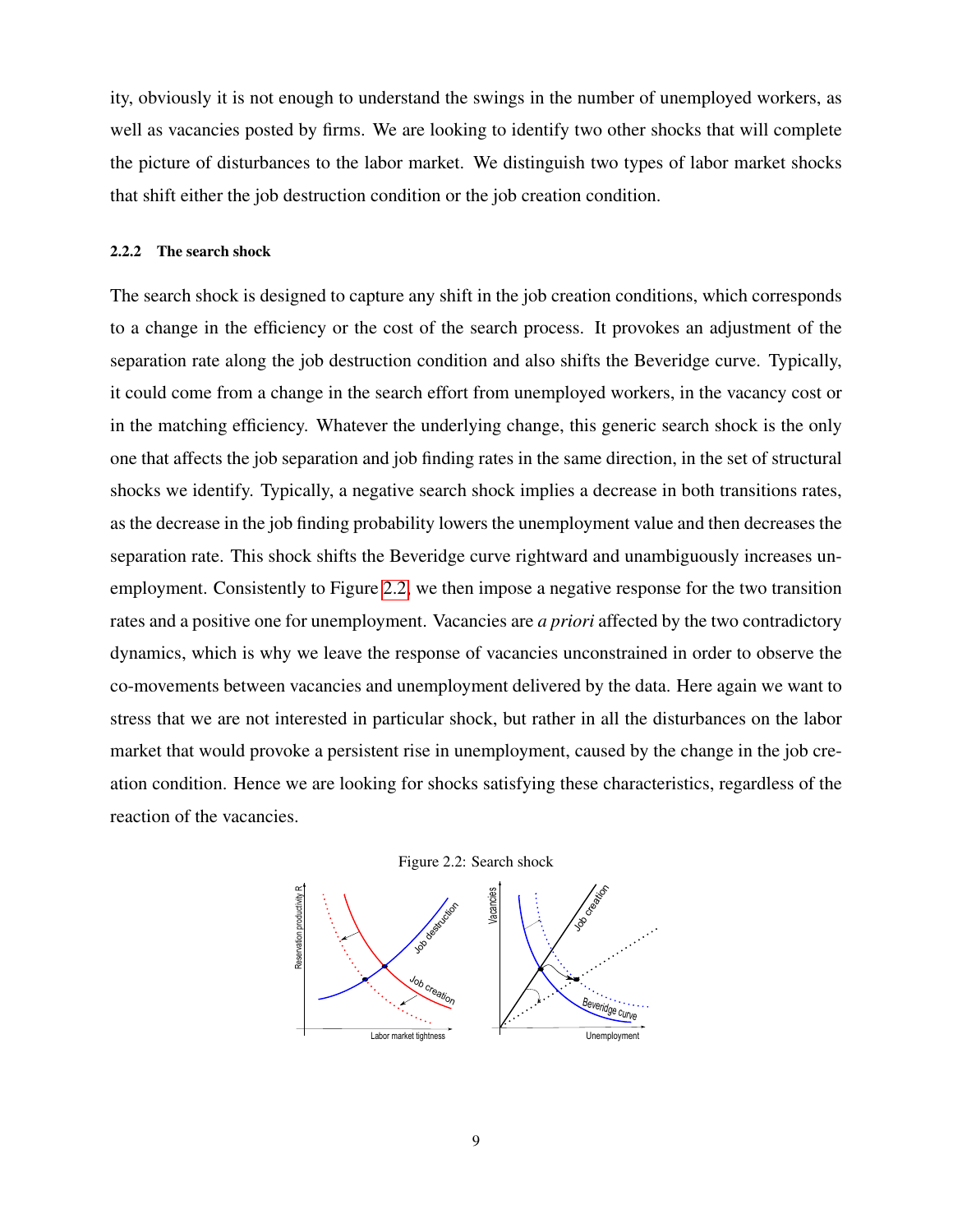ity, obviously it is not enough to understand the swings in the number of unemployed workers, as well as vacancies posted by firms. We are looking to identify two other shocks that will complete the picture of disturbances to the labor market. We distinguish two types of labor market shocks that shift either the job destruction condition or the job creation condition.

#### 2.2.2 The search shock

The search shock is designed to capture any shift in the job creation conditions, which corresponds to a change in the efficiency or the cost of the search process. It provokes an adjustment of the separation rate along the job destruction condition and also shifts the Beveridge curve. Typically, it could come from a change in the search effort from unemployed workers, in the vacancy cost or in the matching efficiency. Whatever the underlying change, this generic search shock is the only one that affects the job separation and job finding rates in the same direction, in the set of structural shocks we identify. Typically, a negative search shock implies a decrease in both transitions rates, as the decrease in the job finding probability lowers the unemployment value and then decreases the separation rate. This shock shifts the Beveridge curve rightward and unambiguously increases unemployment. Consistently to Figure [2.2,](#page-10-0) we then impose a negative response for the two transition rates and a positive one for unemployment. Vacancies are *a priori* affected by the two contradictory dynamics, which is why we leave the response of vacancies unconstrained in order to observe the co-movements between vacancies and unemployment delivered by the data. Here again we want to stress that we are not interested in particular shock, but rather in all the disturbances on the labor market that would provoke a persistent rise in unemployment, caused by the change in the job creation condition. Hence we are looking for shocks satisfying these characteristics, regardless of the reaction of the vacancies.



<span id="page-10-0"></span>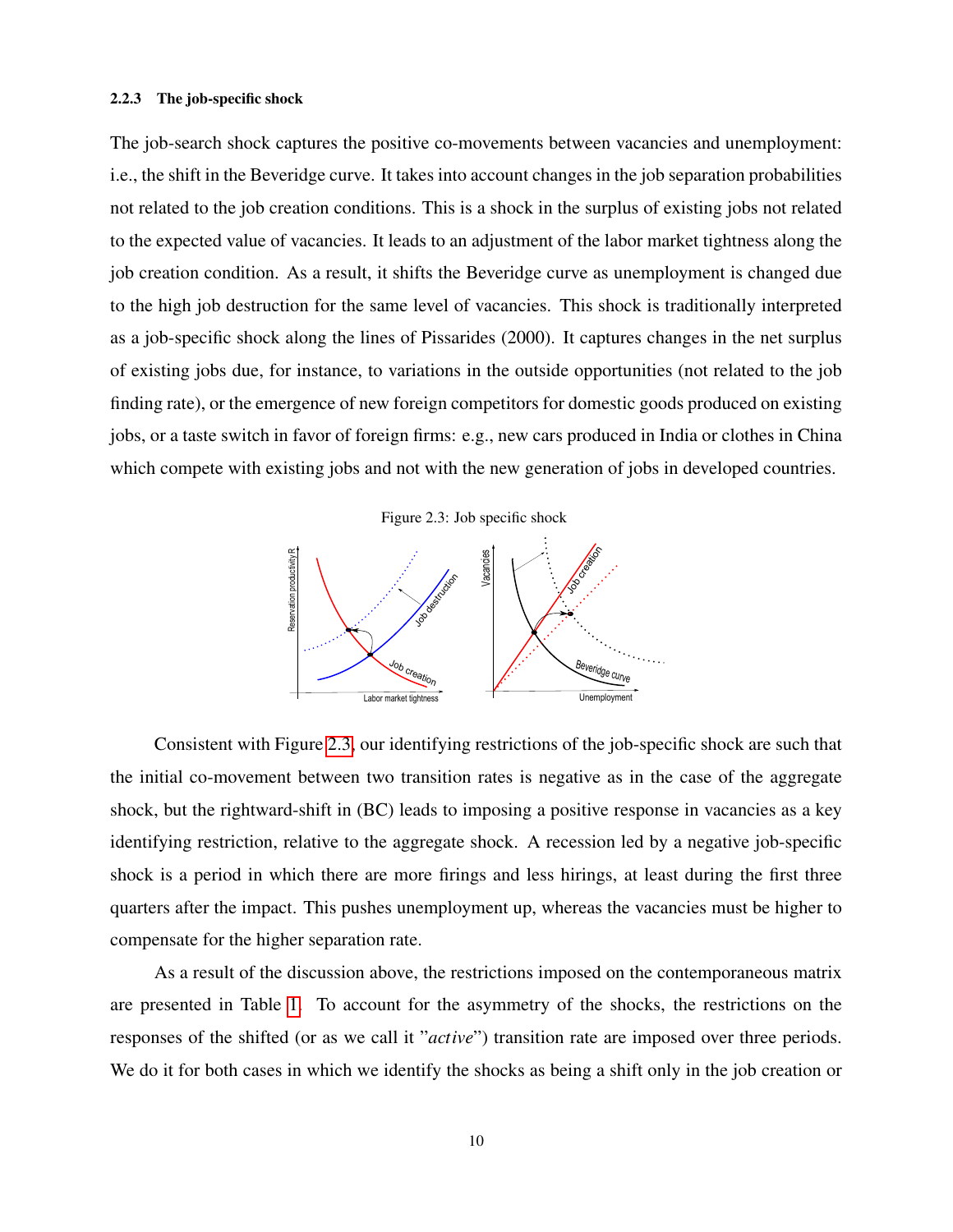#### 2.2.3 The job-specific shock

The job-search shock captures the positive co-movements between vacancies and unemployment: i.e., the shift in the Beveridge curve. It takes into account changes in the job separation probabilities not related to the job creation conditions. This is a shock in the surplus of existing jobs not related to the expected value of vacancies. It leads to an adjustment of the labor market tightness along the job creation condition. As a result, it shifts the Beveridge curve as unemployment is changed due to the high job destruction for the same level of vacancies. This shock is traditionally interpreted as a job-specific shock along the lines of Pissarides (2000). It captures changes in the net surplus of existing jobs due, for instance, to variations in the outside opportunities (not related to the job finding rate), or the emergence of new foreign competitors for domestic goods produced on existing jobs, or a taste switch in favor of foreign firms: e.g., new cars produced in India or clothes in China which compete with existing jobs and not with the new generation of jobs in developed countries.

Figure 2.3: Job specific shock

<span id="page-11-0"></span>

Consistent with Figure [2.3,](#page-11-0) our identifying restrictions of the job-specific shock are such that the initial co-movement between two transition rates is negative as in the case of the aggregate shock, but the rightward-shift in (BC) leads to imposing a positive response in vacancies as a key identifying restriction, relative to the aggregate shock. A recession led by a negative job-specific shock is a period in which there are more firings and less hirings, at least during the first three quarters after the impact. This pushes unemployment up, whereas the vacancies must be higher to compensate for the higher separation rate.

As a result of the discussion above, the restrictions imposed on the contemporaneous matrix are presented in Table [1.](#page-12-0) To account for the asymmetry of the shocks, the restrictions on the responses of the shifted (or as we call it "*active*") transition rate are imposed over three periods. We do it for both cases in which we identify the shocks as being a shift only in the job creation or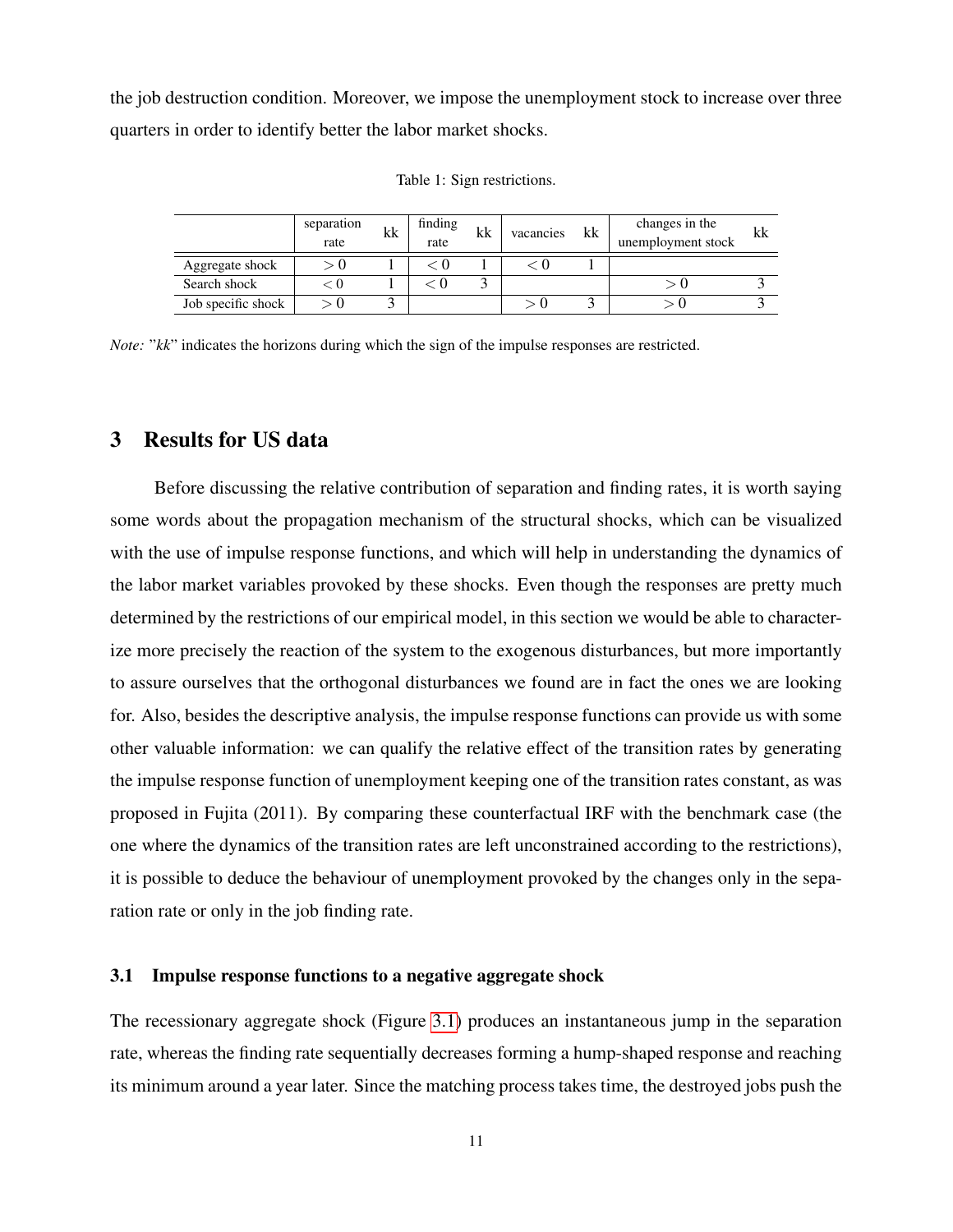<span id="page-12-0"></span>the job destruction condition. Moreover, we impose the unemployment stock to increase over three quarters in order to identify better the labor market shocks.

|                    | separation<br>rate | kk | finding<br>rate | kk | vacancies | kk | changes in the<br>unemployment stock | kk |
|--------------------|--------------------|----|-----------------|----|-----------|----|--------------------------------------|----|
| Aggregate shock    |                    |    |                 |    |           |    |                                      |    |
| Search shock       |                    |    |                 |    |           |    |                                      |    |
| Job specific shock |                    |    |                 |    |           |    |                                      |    |

Table 1: Sign restrictions.

*Note:* " $kk$ " indicates the horizons during which the sign of the impulse responses are restricted.

### 3 Results for US data

Before discussing the relative contribution of separation and finding rates, it is worth saying some words about the propagation mechanism of the structural shocks, which can be visualized with the use of impulse response functions, and which will help in understanding the dynamics of the labor market variables provoked by these shocks. Even though the responses are pretty much determined by the restrictions of our empirical model, in this section we would be able to characterize more precisely the reaction of the system to the exogenous disturbances, but more importantly to assure ourselves that the orthogonal disturbances we found are in fact the ones we are looking for. Also, besides the descriptive analysis, the impulse response functions can provide us with some other valuable information: we can qualify the relative effect of the transition rates by generating the impulse response function of unemployment keeping one of the transition rates constant, as was proposed in Fujita (2011). By comparing these counterfactual IRF with the benchmark case (the one where the dynamics of the transition rates are left unconstrained according to the restrictions), it is possible to deduce the behaviour of unemployment provoked by the changes only in the separation rate or only in the job finding rate.

#### 3.1 Impulse response functions to a negative aggregate shock

The recessionary aggregate shock (Figure [3.1\)](#page-13-0) produces an instantaneous jump in the separation rate, whereas the finding rate sequentially decreases forming a hump-shaped response and reaching its minimum around a year later. Since the matching process takes time, the destroyed jobs push the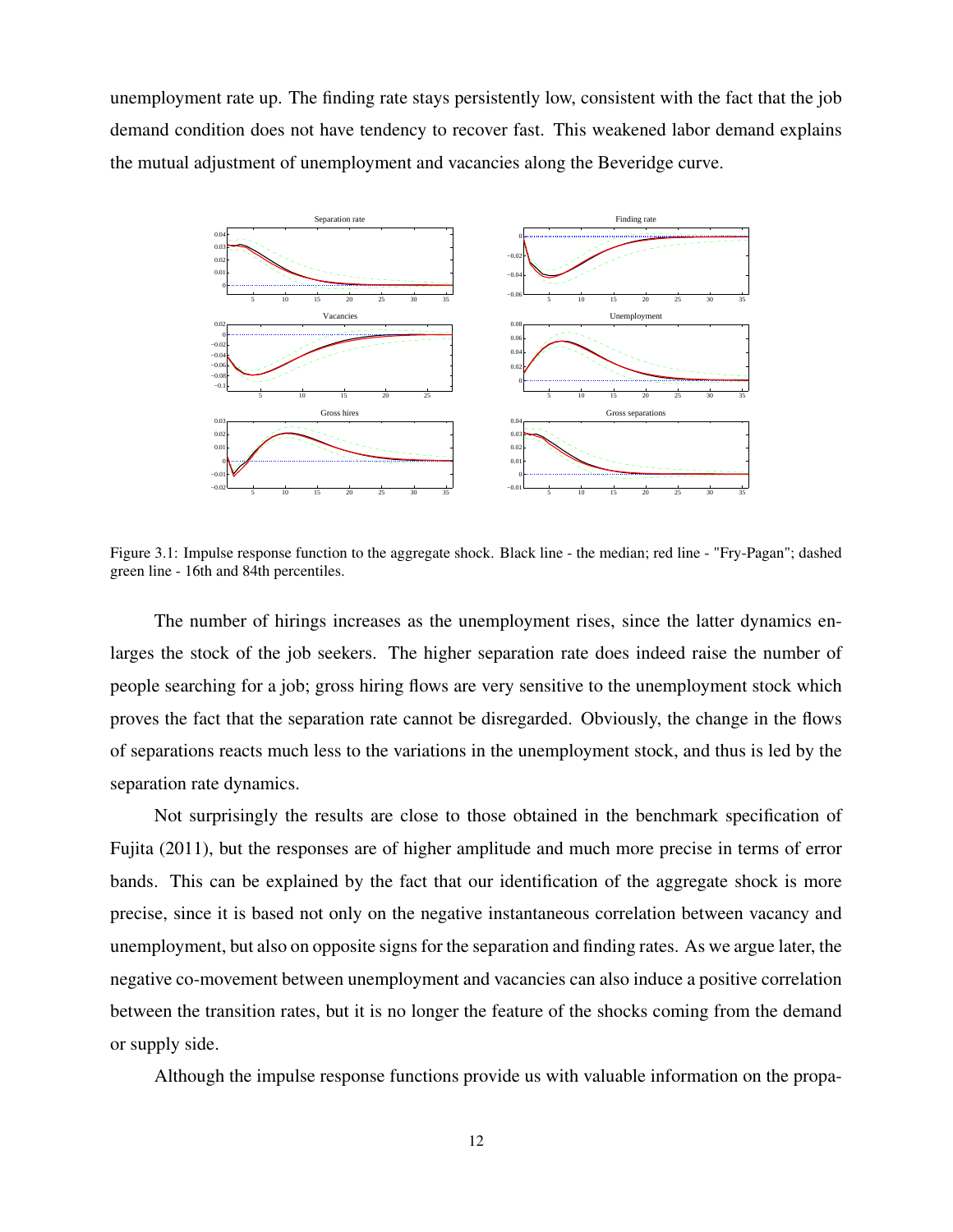unemployment rate up. The finding rate stays persistently low, consistent with the fact that the job demand condition does not have tendency to recover fast. This weakened labor demand explains the mutual adjustment of unemployment and vacancies along the Beveridge curve.

<span id="page-13-0"></span>

Figure 3.1: Impulse response function to the aggregate shock. Black line - the median; red line - "Fry-Pagan"; dashed green line - 16th and 84th percentiles.

The number of hirings increases as the unemployment rises, since the latter dynamics enlarges the stock of the job seekers. The higher separation rate does indeed raise the number of people searching for a job; gross hiring flows are very sensitive to the unemployment stock which proves the fact that the separation rate cannot be disregarded. Obviously, the change in the flows of separations reacts much less to the variations in the unemployment stock, and thus is led by the separation rate dynamics.

Not surprisingly the results are close to those obtained in the benchmark specification of Fujita (2011), but the responses are of higher amplitude and much more precise in terms of error bands. This can be explained by the fact that our identification of the aggregate shock is more precise, since it is based not only on the negative instantaneous correlation between vacancy and unemployment, but also on opposite signs for the separation and finding rates. As we argue later, the negative co-movement between unemployment and vacancies can also induce a positive correlation between the transition rates, but it is no longer the feature of the shocks coming from the demand or supply side.

Although the impulse response functions provide us with valuable information on the propa-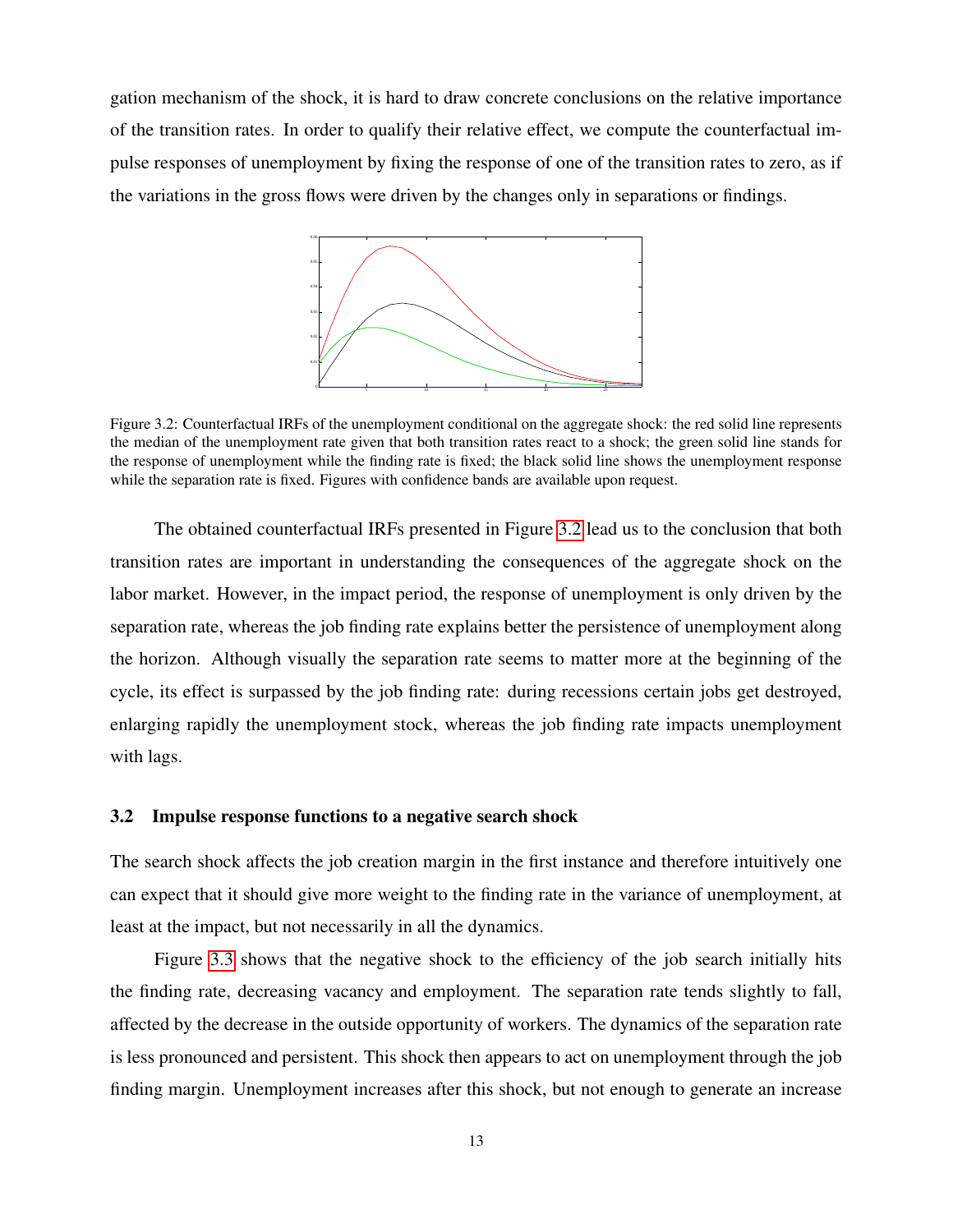<span id="page-14-0"></span>gation mechanism of the shock, it is hard to draw concrete conclusions on the relative importance of the transition rates. In order to qualify their relative effect, we compute the counterfactual impulse responses of unemployment by fixing the response of one of the transition rates to zero, as if the variations in the gross flows were driven by the changes only in separations or findings.



Figure 3.2: Counterfactual IRFs of the unemployment conditional on the aggregate shock: the red solid line represents the median of the unemployment rate given that both transition rates react to a shock; the green solid line stands for the response of unemployment while the finding rate is fixed; the black solid line shows the unemployment response while the separation rate is fixed. Figures with confidence bands are available upon request.

The obtained counterfactual IRFs presented in Figure [3.2](#page-14-0) lead us to the conclusion that both transition rates are important in understanding the consequences of the aggregate shock on the labor market. However, in the impact period, the response of unemployment is only driven by the separation rate, whereas the job finding rate explains better the persistence of unemployment along the horizon. Although visually the separation rate seems to matter more at the beginning of the cycle, its effect is surpassed by the job finding rate: during recessions certain jobs get destroyed, enlarging rapidly the unemployment stock, whereas the job finding rate impacts unemployment with lags.

#### 3.2 Impulse response functions to a negative search shock

The search shock affects the job creation margin in the first instance and therefore intuitively one can expect that it should give more weight to the finding rate in the variance of unemployment, at least at the impact, but not necessarily in all the dynamics.

Figure [3.3](#page-15-0) shows that the negative shock to the efficiency of the job search initially hits the finding rate, decreasing vacancy and employment. The separation rate tends slightly to fall, affected by the decrease in the outside opportunity of workers. The dynamics of the separation rate is less pronounced and persistent. This shock then appears to act on unemployment through the job finding margin. Unemployment increases after this shock, but not enough to generate an increase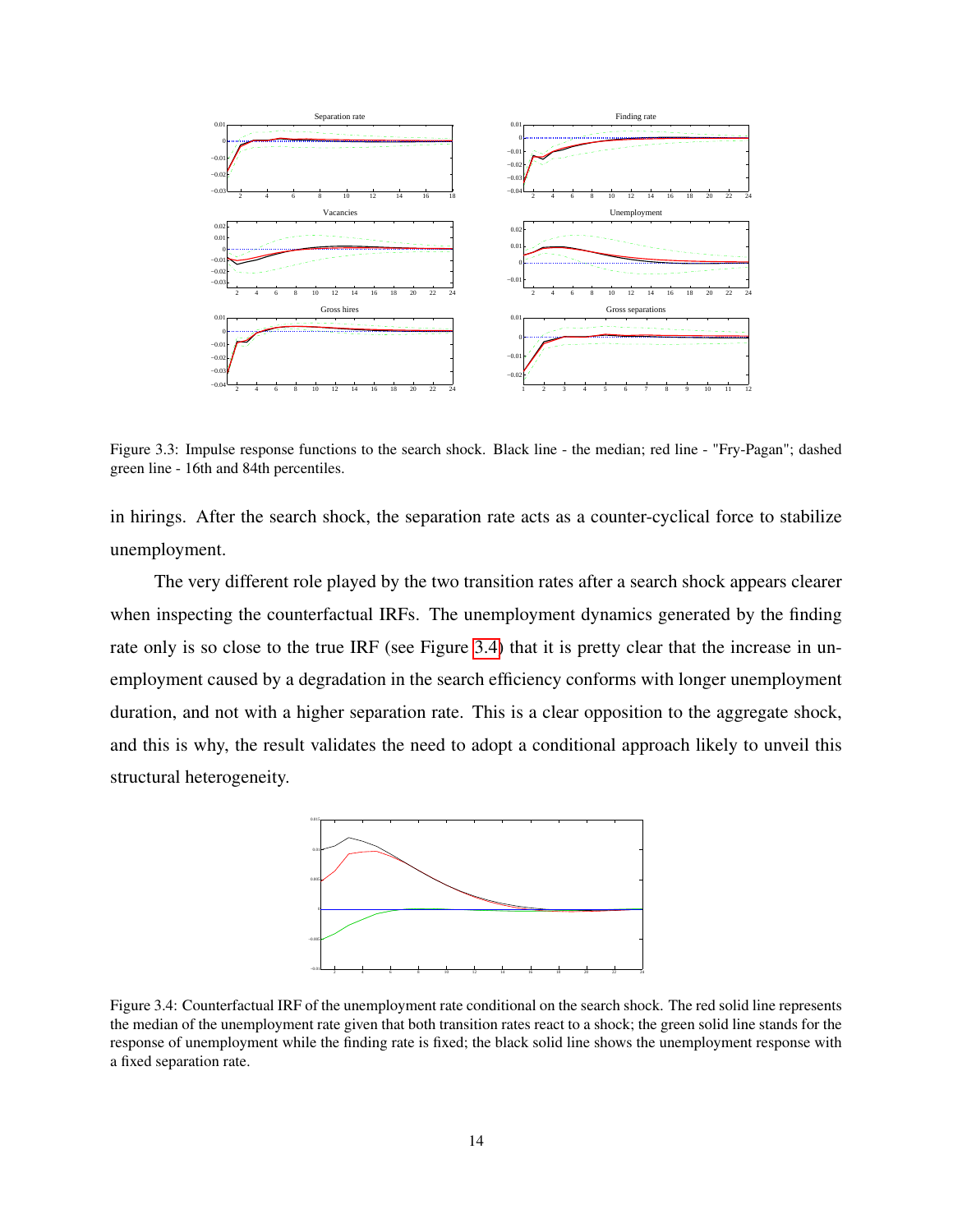<span id="page-15-0"></span>

Figure 3.3: Impulse response functions to the search shock. Black line - the median; red line - "Fry-Pagan"; dashed green line - 16th and 84th percentiles.

in hirings. After the search shock, the separation rate acts as a counter-cyclical force to stabilize unemployment.

The very different role played by the two transition rates after a search shock appears clearer when inspecting the counterfactual IRFs. The unemployment dynamics generated by the finding rate only is so close to the true IRF (see Figure [3.4\)](#page-15-1) that it is pretty clear that the increase in unemployment caused by a degradation in the search efficiency conforms with longer unemployment duration, and not with a higher separation rate. This is a clear opposition to the aggregate shock, and this is why, the result validates the need to adopt a conditional approach likely to unveil this structural heterogeneity.

<span id="page-15-1"></span>

Figure 3.4: Counterfactual IRF of the unemployment rate conditional on the search shock. The red solid line represents the median of the unemployment rate given that both transition rates react to a shock; the green solid line stands for the response of unemployment while the finding rate is fixed; the black solid line shows the unemployment response with a fixed separation rate.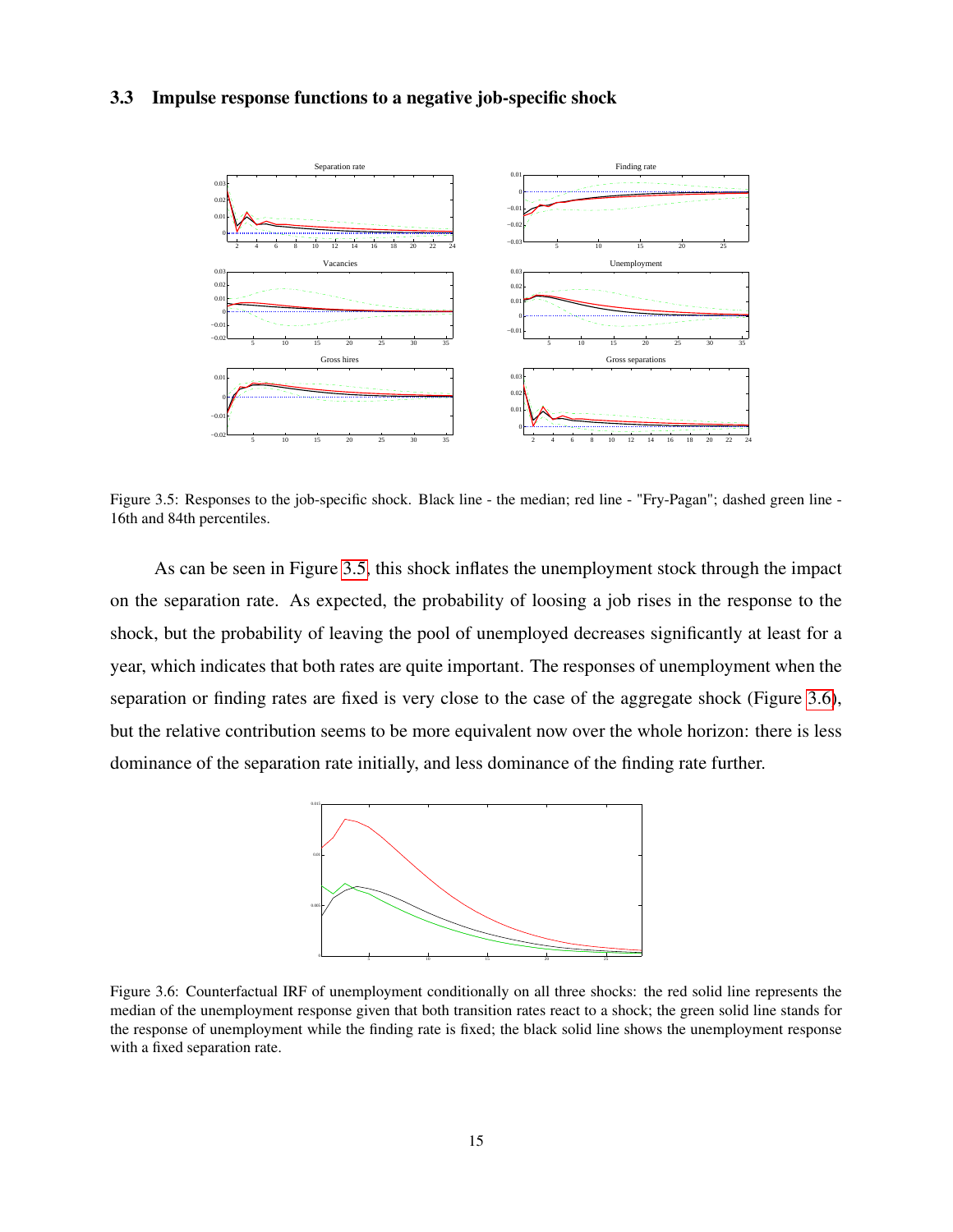#### <span id="page-16-0"></span>3.3 Impulse response functions to a negative job-specific shock



Figure 3.5: Responses to the job-specific shock. Black line - the median; red line - "Fry-Pagan"; dashed green line - 16th and 84th percentiles.

As can be seen in Figure [3.5,](#page-16-0) this shock inflates the unemployment stock through the impact on the separation rate. As expected, the probability of loosing a job rises in the response to the shock, but the probability of leaving the pool of unemployed decreases significantly at least for a year, which indicates that both rates are quite important. The responses of unemployment when the separation or finding rates are fixed is very close to the case of the aggregate shock (Figure [3.6\)](#page-16-1), but the relative contribution seems to be more equivalent now over the whole horizon: there is less dominance of the separation rate initially, and less dominance of the finding rate further.

<span id="page-16-1"></span>

Figure 3.6: Counterfactual IRF of unemployment conditionally on all three shocks: the red solid line represents the median of the unemployment response given that both transition rates react to a shock; the green solid line stands for the response of unemployment while the finding rate is fixed; the black solid line shows the unemployment response with a fixed separation rate.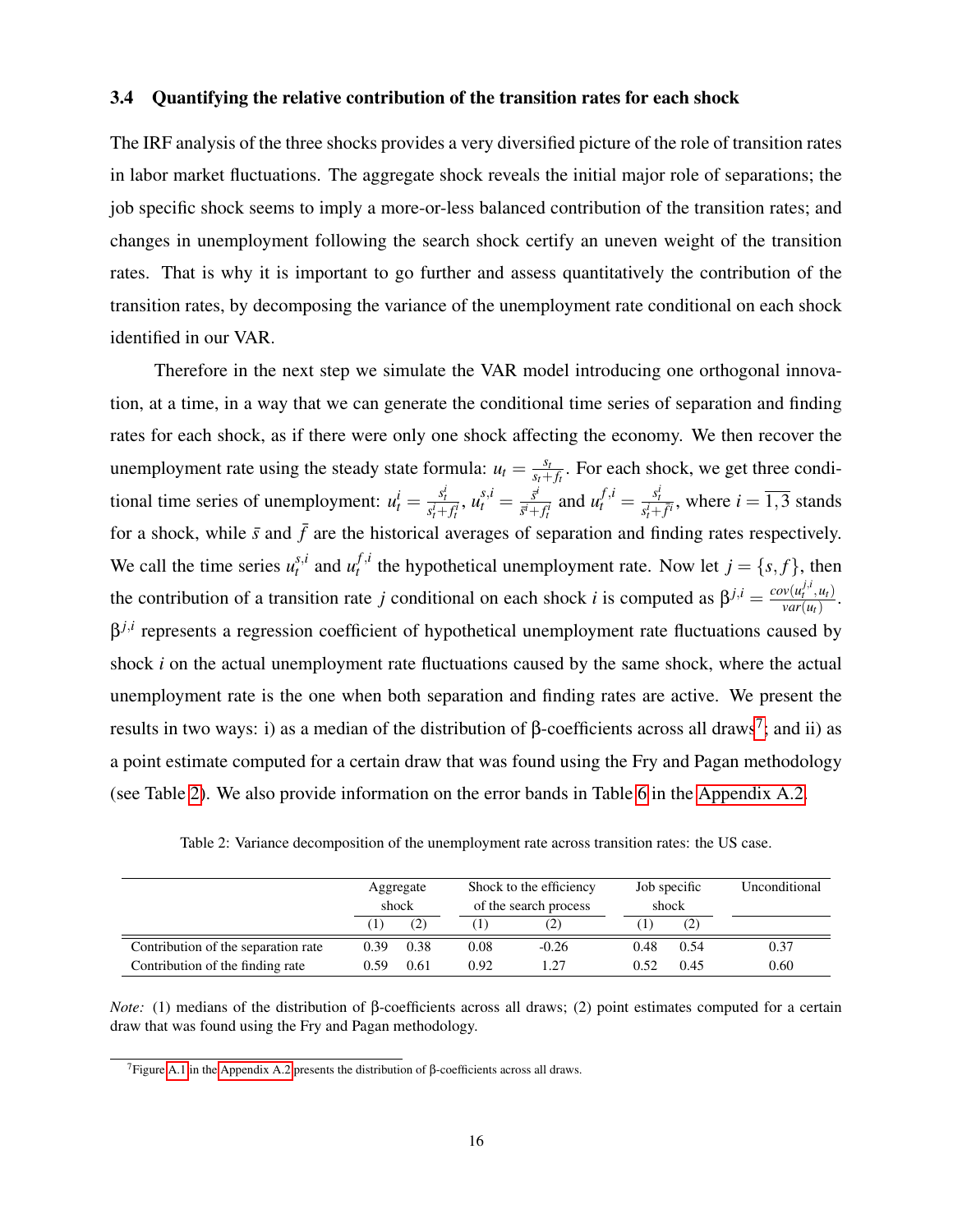#### 3.4 Quantifying the relative contribution of the transition rates for each shock

The IRF analysis of the three shocks provides a very diversified picture of the role of transition rates in labor market fluctuations. The aggregate shock reveals the initial major role of separations; the job specific shock seems to imply a more-or-less balanced contribution of the transition rates; and changes in unemployment following the search shock certify an uneven weight of the transition rates. That is why it is important to go further and assess quantitatively the contribution of the transition rates, by decomposing the variance of the unemployment rate conditional on each shock identified in our VAR.

Therefore in the next step we simulate the VAR model introducing one orthogonal innovation, at a time, in a way that we can generate the conditional time series of separation and finding rates for each shock, as if there were only one shock affecting the economy. We then recover the unemployment rate using the steady state formula:  $u_t = \frac{s_t}{s_t + s_t}$  $\frac{s_t}{s_t+f_t}$ . For each shock, we get three conditional time series of unemployment:  $u_t^i = \frac{s_t^i}{s_t^i + f_t^i}$ ,  $u_t^{s,i} = \frac{\vec{s}^i}{\vec{s}^i + f_t^i}$  $\frac{\bar{s}^i}{\bar{s}^i + f_t^i}$  and  $u_t^{f,i} = \frac{s_t^i}{s_t^i + \bar{f}^i}$ , where  $i = \overline{1,3}$  stands for a shock, while  $\bar{s}$  and  $\bar{f}$  are the historical averages of separation and finding rates respectively. We call the time series  $u_t^{s,i}$  and  $u_t^{f,i}$  $t^{j,t}$  the hypothetical unemployment rate. Now let  $j = \{s, f\}$ , then the contribution of a transition rate *j* conditional on each shock *i* is computed as  $\beta^{j,i} = \frac{cov(u_i^{j,i}, u_i)}{var(u_i)}$  $\frac{w(u_t, u_t)}{var(u_t)}$ . β *j*,*i* represents a regression coefficient of hypothetical unemployment rate fluctuations caused by shock *i* on the actual unemployment rate fluctuations caused by the same shock, where the actual unemployment rate is the one when both separation and finding rates are active. We present the results in two ways: i) as a median of the distribution of  $\beta$ -coefficients across all draws<sup>[7](#page-17-0)</sup>; and ii) as a point estimate computed for a certain draw that was found using the Fry and Pagan methodology (see Table [2\)](#page-17-1). We also provide information on the error bands in Table [6](#page-26-0) in the [Appendix A.2.](#page-26-1)

<span id="page-17-1"></span>

|                                     | Aggregate<br>shock |      |      | Shock to the efficiency<br>of the search process | Job specific<br>shock |      | Unconditional |
|-------------------------------------|--------------------|------|------|--------------------------------------------------|-----------------------|------|---------------|
|                                     | (1)                | (2)  | (1)  |                                                  |                       | (2)  |               |
| Contribution of the separation rate | 0.39               | 0.38 | 0.08 | $-0.26$                                          | 0.48                  | 0.54 | 0.37          |
| Contribution of the finding rate    | 0.59               | 0.61 | 0.92 | 1.27                                             | 0.52                  | 0.45 | 0.60          |

Table 2: Variance decomposition of the unemployment rate across transition rates: the US case.

*Note:* (1) medians of the distribution of β-coefficients across all draws; (2) point estimates computed for a certain draw that was found using the Fry and Pagan methodology.

<span id="page-17-0"></span><sup>&</sup>lt;sup>7</sup>Figure [A.1](#page-26-2) in the [Appendix A.2](#page-26-1) presents the distribution of β-coefficients across all draws.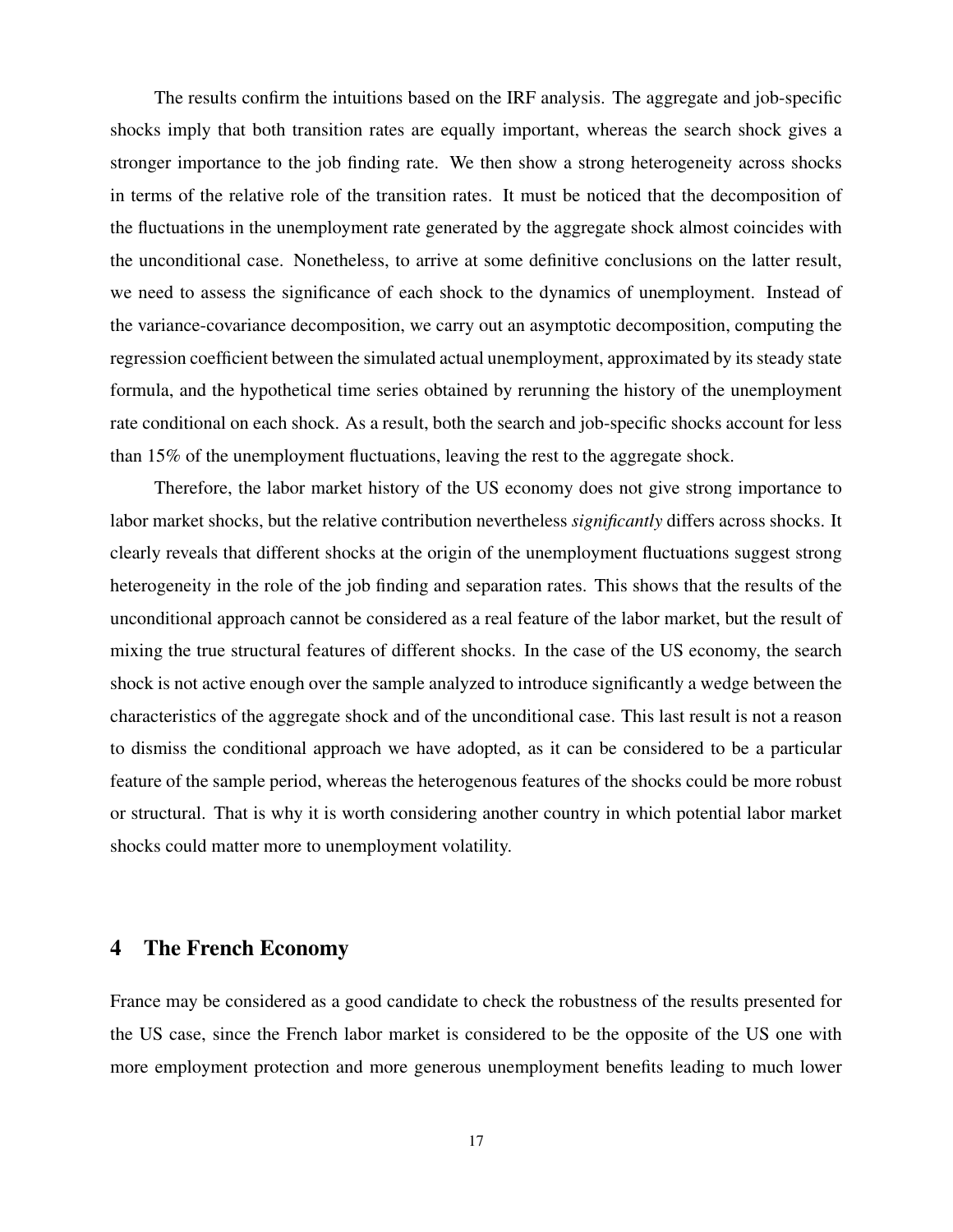The results confirm the intuitions based on the IRF analysis. The aggregate and job-specific shocks imply that both transition rates are equally important, whereas the search shock gives a stronger importance to the job finding rate. We then show a strong heterogeneity across shocks in terms of the relative role of the transition rates. It must be noticed that the decomposition of the fluctuations in the unemployment rate generated by the aggregate shock almost coincides with the unconditional case. Nonetheless, to arrive at some definitive conclusions on the latter result, we need to assess the significance of each shock to the dynamics of unemployment. Instead of the variance-covariance decomposition, we carry out an asymptotic decomposition, computing the regression coefficient between the simulated actual unemployment, approximated by its steady state formula, and the hypothetical time series obtained by rerunning the history of the unemployment rate conditional on each shock. As a result, both the search and job-specific shocks account for less than 15% of the unemployment fluctuations, leaving the rest to the aggregate shock.

Therefore, the labor market history of the US economy does not give strong importance to labor market shocks, but the relative contribution nevertheless *significantly* differs across shocks. It clearly reveals that different shocks at the origin of the unemployment fluctuations suggest strong heterogeneity in the role of the job finding and separation rates. This shows that the results of the unconditional approach cannot be considered as a real feature of the labor market, but the result of mixing the true structural features of different shocks. In the case of the US economy, the search shock is not active enough over the sample analyzed to introduce significantly a wedge between the characteristics of the aggregate shock and of the unconditional case. This last result is not a reason to dismiss the conditional approach we have adopted, as it can be considered to be a particular feature of the sample period, whereas the heterogenous features of the shocks could be more robust or structural. That is why it is worth considering another country in which potential labor market shocks could matter more to unemployment volatility.

### 4 The French Economy

France may be considered as a good candidate to check the robustness of the results presented for the US case, since the French labor market is considered to be the opposite of the US one with more employment protection and more generous unemployment benefits leading to much lower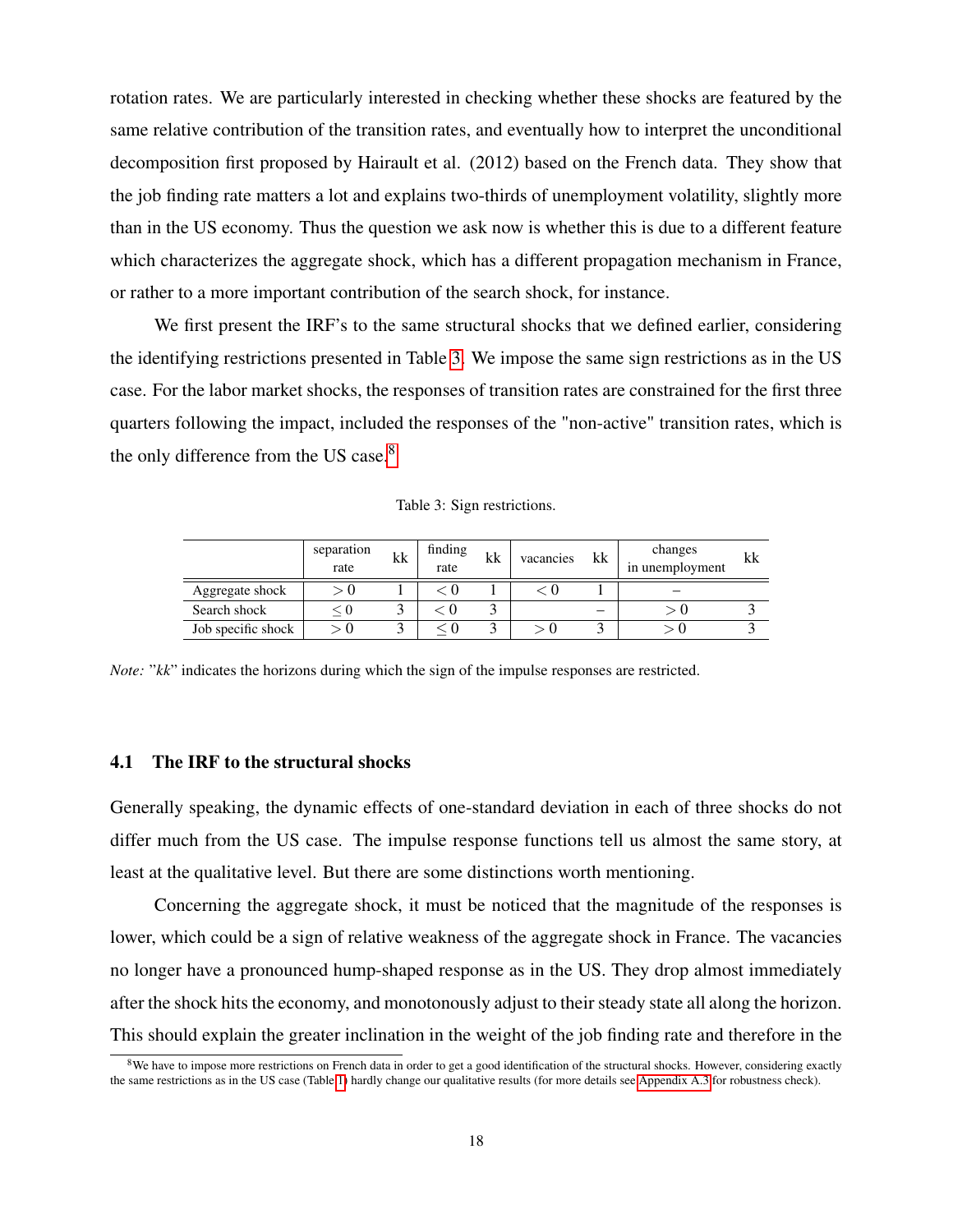rotation rates. We are particularly interested in checking whether these shocks are featured by the same relative contribution of the transition rates, and eventually how to interpret the unconditional decomposition first proposed by Hairault et al. (2012) based on the French data. They show that the job finding rate matters a lot and explains two-thirds of unemployment volatility, slightly more than in the US economy. Thus the question we ask now is whether this is due to a different feature which characterizes the aggregate shock, which has a different propagation mechanism in France, or rather to a more important contribution of the search shock, for instance.

We first present the IRF's to the same structural shocks that we defined earlier, considering the identifying restrictions presented in Table [3.](#page-19-0) We impose the same sign restrictions as in the US case. For the labor market shocks, the responses of transition rates are constrained for the first three quarters following the impact, included the responses of the "non-active" transition rates, which is the only difference from the US case.<sup>[8](#page-19-1)</sup>

Table 3: Sign restrictions.

<span id="page-19-0"></span>

|                    | separation<br>rate | kk | finding<br>rate | kk | vacancies | kk                       | changes<br>in unemployment | kk |
|--------------------|--------------------|----|-----------------|----|-----------|--------------------------|----------------------------|----|
| Aggregate shock    |                    |    |                 |    |           |                          |                            |    |
| Search shock       | < ∪                |    |                 |    |           | $\overline{\phantom{a}}$ |                            |    |
| Job specific shock |                    |    |                 |    |           |                          |                            |    |

*Note:* " $kk$ " indicates the horizons during which the sign of the impulse responses are restricted.

#### 4.1 The IRF to the structural shocks

Generally speaking, the dynamic effects of one-standard deviation in each of three shocks do not differ much from the US case. The impulse response functions tell us almost the same story, at least at the qualitative level. But there are some distinctions worth mentioning.

Concerning the aggregate shock, it must be noticed that the magnitude of the responses is lower, which could be a sign of relative weakness of the aggregate shock in France. The vacancies no longer have a pronounced hump-shaped response as in the US. They drop almost immediately after the shock hits the economy, and monotonously adjust to their steady state all along the horizon. This should explain the greater inclination in the weight of the job finding rate and therefore in the

<span id="page-19-1"></span><sup>&</sup>lt;sup>8</sup>We have to impose more restrictions on French data in order to get a good identification of the structural shocks. However, considering exactly the same restrictions as in the US case (Table [1\)](#page-12-0) hardly change our qualitative results (for more details see [Appendix A.3](#page-27-0) for robustness check).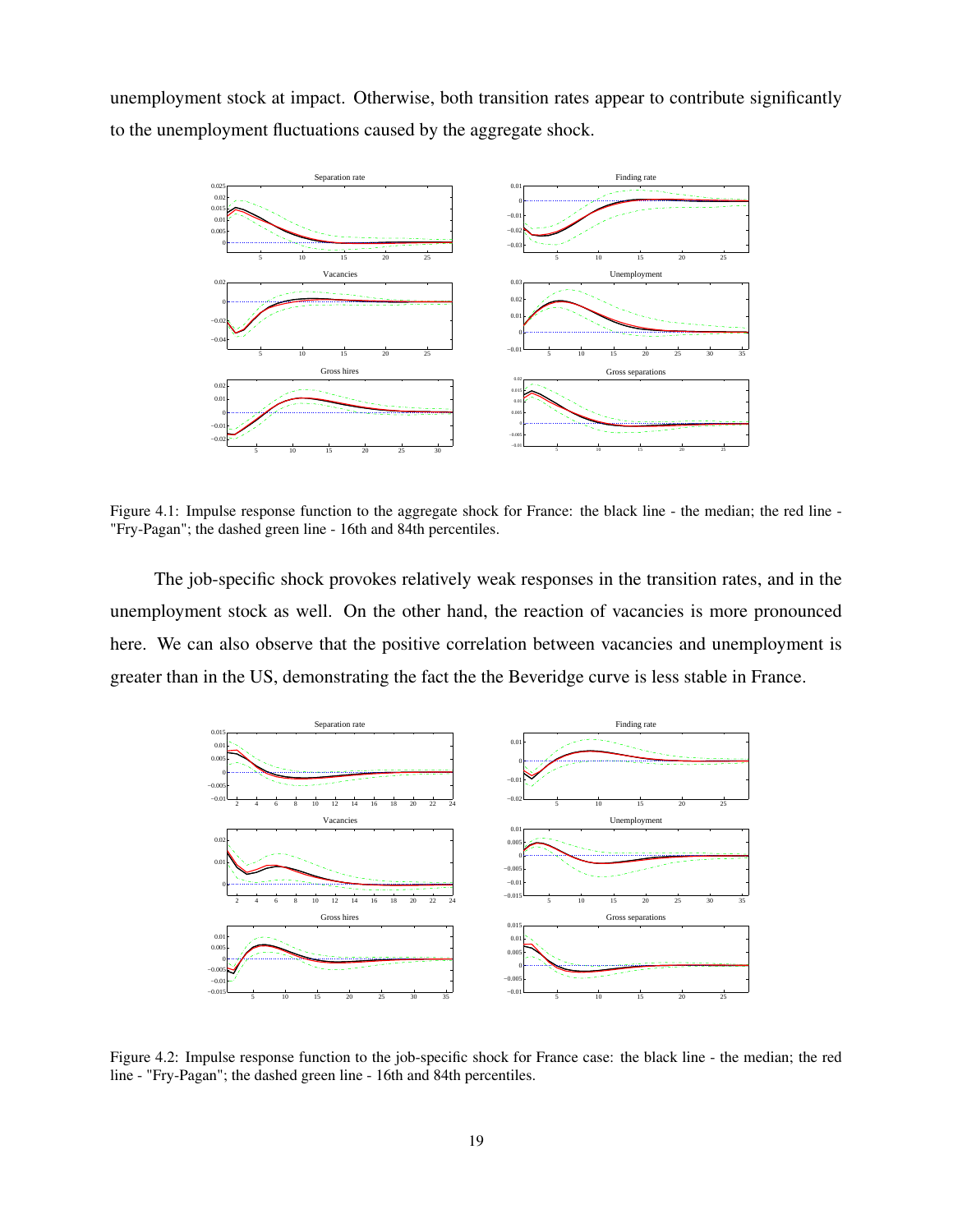unemployment stock at impact. Otherwise, both transition rates appear to contribute significantly to the unemployment fluctuations caused by the aggregate shock.



Figure 4.1: Impulse response function to the aggregate shock for France: the black line - the median; the red line - "Fry-Pagan"; the dashed green line - 16th and 84th percentiles.

The job-specific shock provokes relatively weak responses in the transition rates, and in the unemployment stock as well. On the other hand, the reaction of vacancies is more pronounced here. We can also observe that the positive correlation between vacancies and unemployment is greater than in the US, demonstrating the fact the the Beveridge curve is less stable in France.



Figure 4.2: Impulse response function to the job-specific shock for France case: the black line - the median; the red line - "Fry-Pagan"; the dashed green line - 16th and 84th percentiles.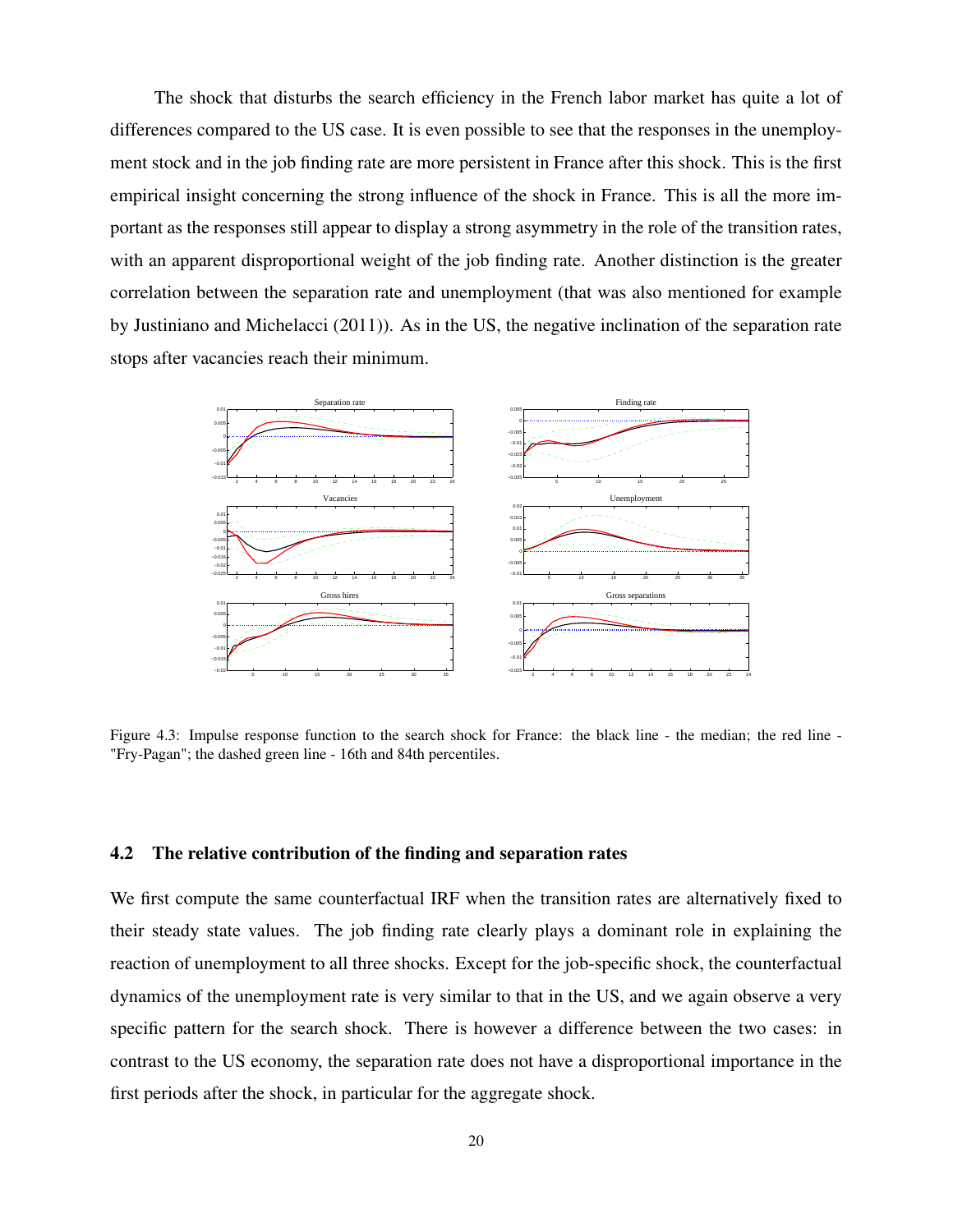The shock that disturbs the search efficiency in the French labor market has quite a lot of differences compared to the US case. It is even possible to see that the responses in the unemployment stock and in the job finding rate are more persistent in France after this shock. This is the first empirical insight concerning the strong influence of the shock in France. This is all the more important as the responses still appear to display a strong asymmetry in the role of the transition rates, with an apparent disproportional weight of the job finding rate. Another distinction is the greater correlation between the separation rate and unemployment (that was also mentioned for example by Justiniano and Michelacci (2011)). As in the US, the negative inclination of the separation rate stops after vacancies reach their minimum.



Figure 4.3: Impulse response function to the search shock for France: the black line - the median; the red line - "Fry-Pagan"; the dashed green line - 16th and 84th percentiles.

#### 4.2 The relative contribution of the finding and separation rates

We first compute the same counterfactual IRF when the transition rates are alternatively fixed to their steady state values. The job finding rate clearly plays a dominant role in explaining the reaction of unemployment to all three shocks. Except for the job-specific shock, the counterfactual dynamics of the unemployment rate is very similar to that in the US, and we again observe a very specific pattern for the search shock. There is however a difference between the two cases: in contrast to the US economy, the separation rate does not have a disproportional importance in the first periods after the shock, in particular for the aggregate shock.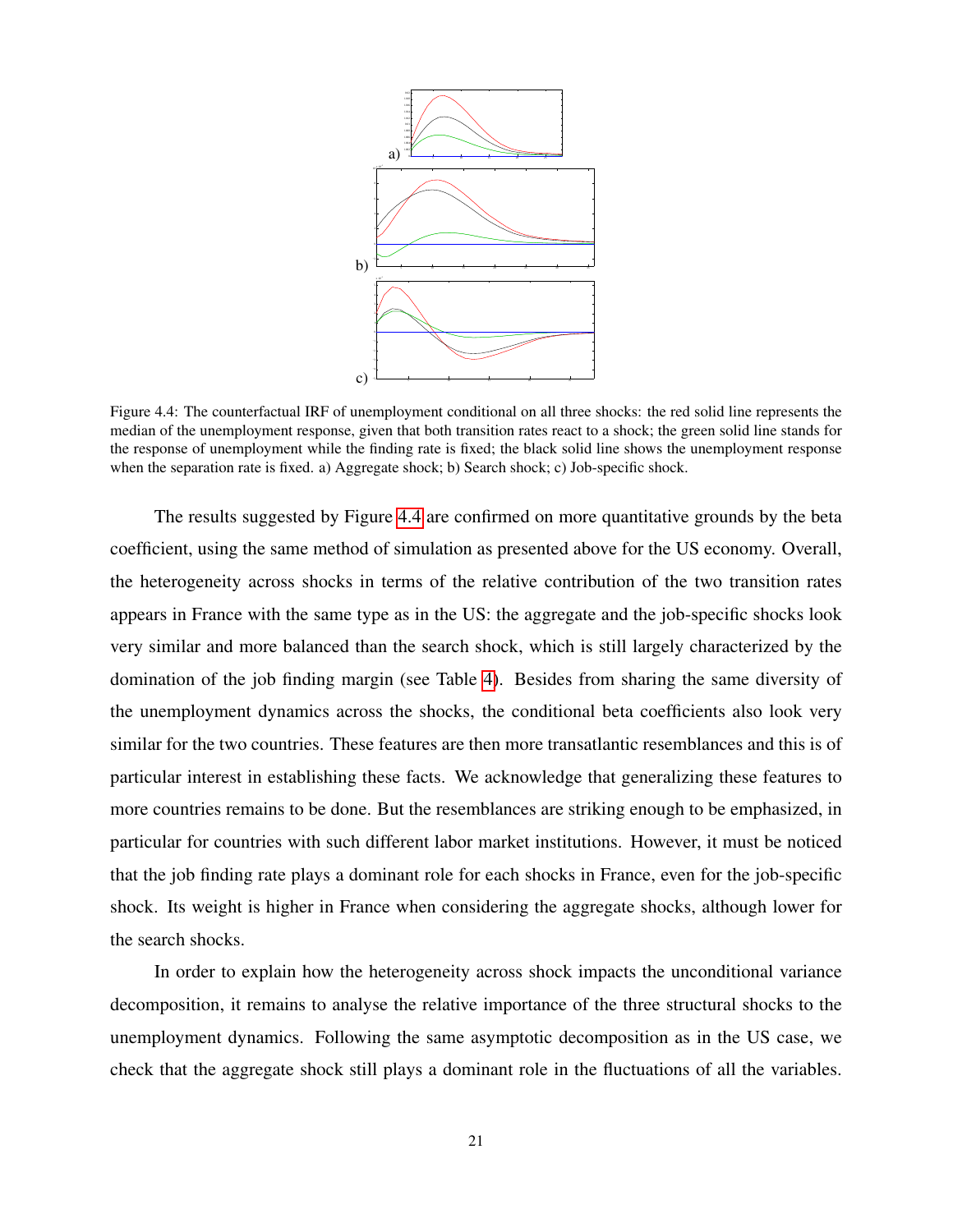<span id="page-22-0"></span>

Figure 4.4: The counterfactual IRF of unemployment conditional on all three shocks: the red solid line represents the median of the unemployment response, given that both transition rates react to a shock; the green solid line stands for the response of unemployment while the finding rate is fixed; the black solid line shows the unemployment response when the separation rate is fixed. a) Aggregate shock; b) Search shock; c) Job-specific shock.

The results suggested by Figure [4.4](#page-22-0) are confirmed on more quantitative grounds by the beta coefficient, using the same method of simulation as presented above for the US economy. Overall, the heterogeneity across shocks in terms of the relative contribution of the two transition rates appears in France with the same type as in the US: the aggregate and the job-specific shocks look very similar and more balanced than the search shock, which is still largely characterized by the domination of the job finding margin (see Table [4\)](#page-23-0). Besides from sharing the same diversity of the unemployment dynamics across the shocks, the conditional beta coefficients also look very similar for the two countries. These features are then more transatlantic resemblances and this is of particular interest in establishing these facts. We acknowledge that generalizing these features to more countries remains to be done. But the resemblances are striking enough to be emphasized, in particular for countries with such different labor market institutions. However, it must be noticed that the job finding rate plays a dominant role for each shocks in France, even for the job-specific shock. Its weight is higher in France when considering the aggregate shocks, although lower for the search shocks.

In order to explain how the heterogeneity across shock impacts the unconditional variance decomposition, it remains to analyse the relative importance of the three structural shocks to the unemployment dynamics. Following the same asymptotic decomposition as in the US case, we check that the aggregate shock still plays a dominant role in the fluctuations of all the variables.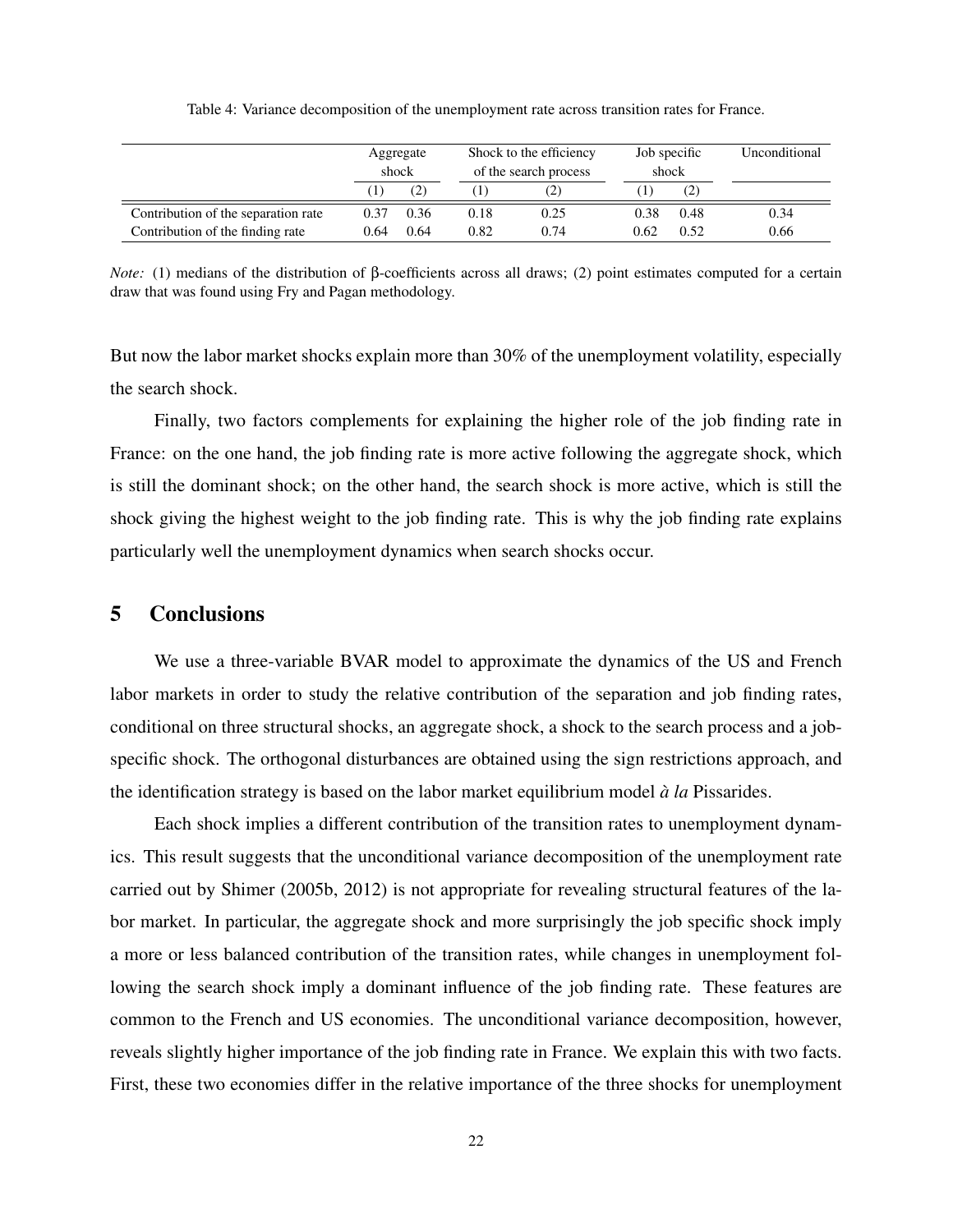<span id="page-23-0"></span>

|                                     | Aggregate<br>shock |      |      | Shock to the efficiency<br>of the search process | Job specific<br>shock |      | Unconditional |
|-------------------------------------|--------------------|------|------|--------------------------------------------------|-----------------------|------|---------------|
|                                     |                    |      |      |                                                  |                       | (2)  |               |
| Contribution of the separation rate | 0.37               | 0.36 | 0.18 | 0.25                                             | 0.38                  | 0.48 | 0.34          |
| Contribution of the finding rate    | 0.64               | 0.64 | 0.82 | 0.74                                             | 0.62                  | 0.52 | 0.66          |

Table 4: Variance decomposition of the unemployment rate across transition rates for France.

*Note:* (1) medians of the distribution of β-coefficients across all draws; (2) point estimates computed for a certain draw that was found using Fry and Pagan methodology.

But now the labor market shocks explain more than 30% of the unemployment volatility, especially the search shock.

Finally, two factors complements for explaining the higher role of the job finding rate in France: on the one hand, the job finding rate is more active following the aggregate shock, which is still the dominant shock; on the other hand, the search shock is more active, which is still the shock giving the highest weight to the job finding rate. This is why the job finding rate explains particularly well the unemployment dynamics when search shocks occur.

#### 5 Conclusions

We use a three-variable BVAR model to approximate the dynamics of the US and French labor markets in order to study the relative contribution of the separation and job finding rates, conditional on three structural shocks, an aggregate shock, a shock to the search process and a jobspecific shock. The orthogonal disturbances are obtained using the sign restrictions approach, and the identification strategy is based on the labor market equilibrium model `*a la* Pissarides.

Each shock implies a different contribution of the transition rates to unemployment dynamics. This result suggests that the unconditional variance decomposition of the unemployment rate carried out by Shimer (2005b, 2012) is not appropriate for revealing structural features of the labor market. In particular, the aggregate shock and more surprisingly the job specific shock imply a more or less balanced contribution of the transition rates, while changes in unemployment following the search shock imply a dominant influence of the job finding rate. These features are common to the French and US economies. The unconditional variance decomposition, however, reveals slightly higher importance of the job finding rate in France. We explain this with two facts. First, these two economies differ in the relative importance of the three shocks for unemployment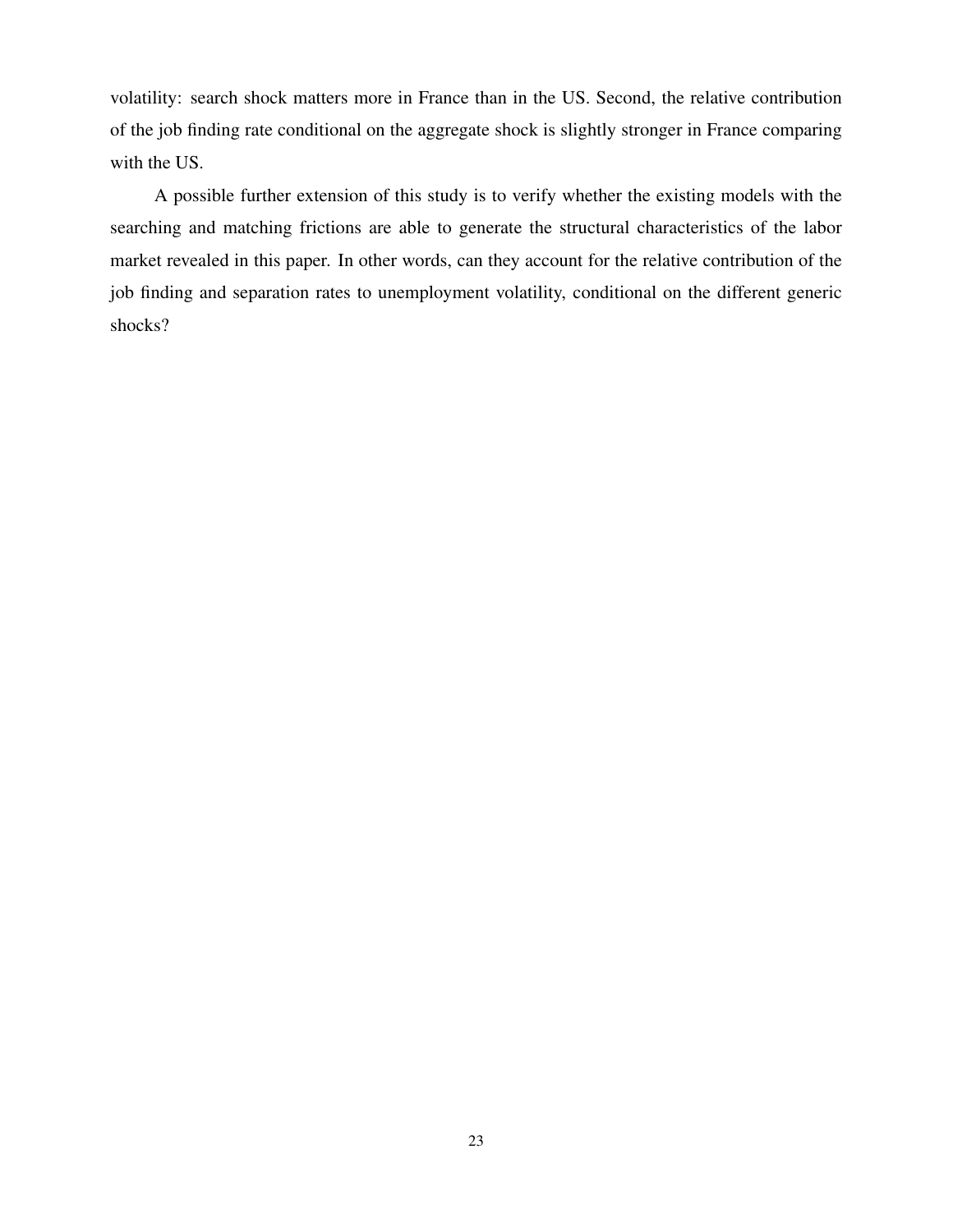volatility: search shock matters more in France than in the US. Second, the relative contribution of the job finding rate conditional on the aggregate shock is slightly stronger in France comparing with the US.

A possible further extension of this study is to verify whether the existing models with the searching and matching frictions are able to generate the structural characteristics of the labor market revealed in this paper. In other words, can they account for the relative contribution of the job finding and separation rates to unemployment volatility, conditional on the different generic shocks?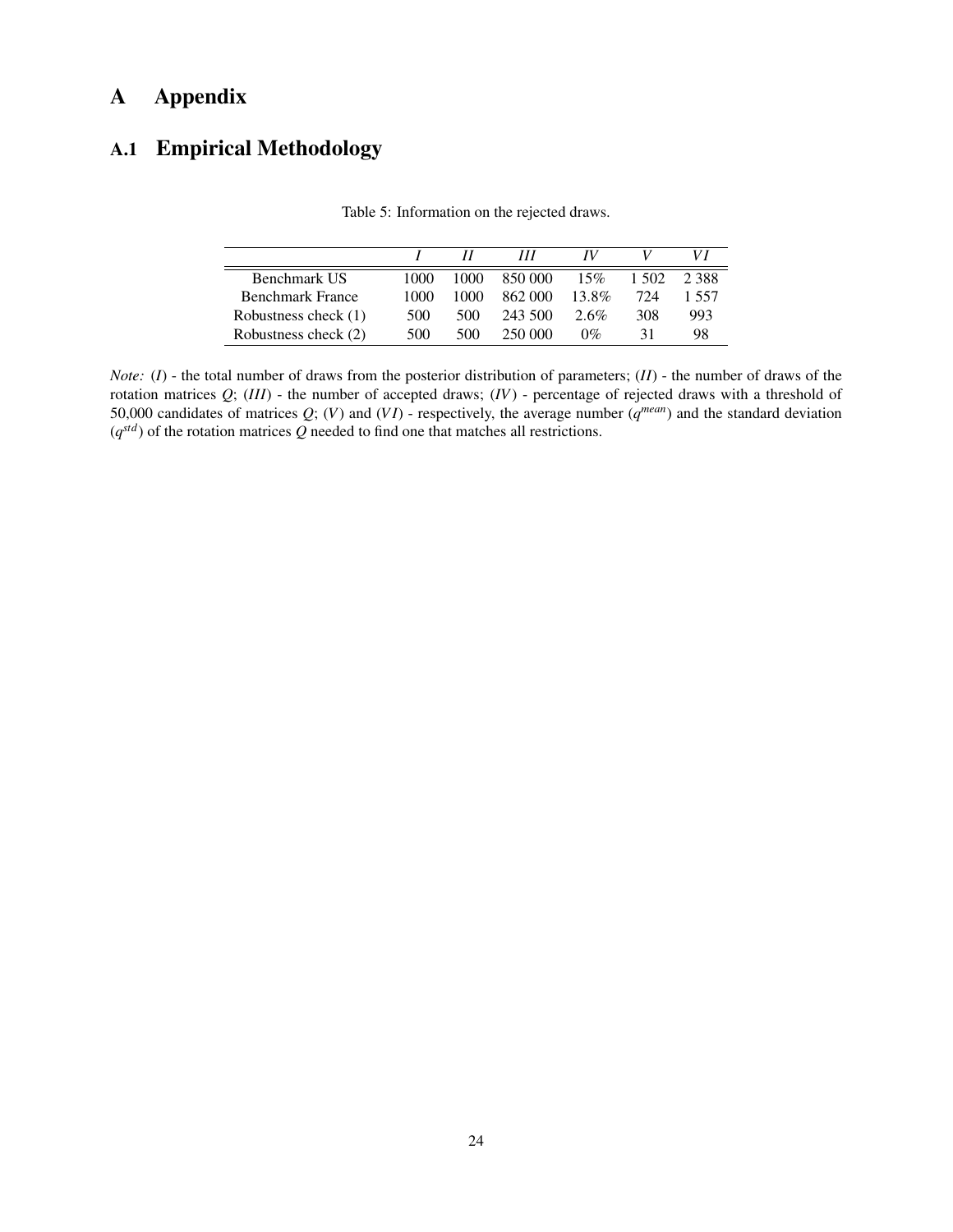# A Appendix

# <span id="page-25-1"></span><span id="page-25-0"></span>A.1 Empirical Methodology

|                         |      |      | $^{\prime\prime\prime}$ | IV    |        |       |
|-------------------------|------|------|-------------------------|-------|--------|-------|
| Benchmark US            | 1000 | 1000 | 850,000                 | 15%   | 1.502. | 2.388 |
| <b>Benchmark France</b> | 1000 | 1000 | 862.000                 | 13.8% | 724    | 1 557 |
| Robustness check (1)    | 500  | 500  | 243.500                 | 2.6%  | 308    | 993   |
| Robustness check (2)    | 500  | 500  | 250.000                 | $0\%$ | 31     | 98    |

Table 5: Information on the rejected draws.

*Note:* (*I*) - the total number of draws from the posterior distribution of parameters; (*II*) - the number of draws of the rotation matrices *Q*; (*III*) - the number of accepted draws; (*IV*) - percentage of rejected draws with a threshold of 50,000 candidates of matrices  $Q$ ;  $(V)$  and  $(VI)$  - respectively, the average number  $(q^{mean})$  and the standard deviation  $(q^{std})$  of the rotation matrices Q needed to find one that matches all restrictions.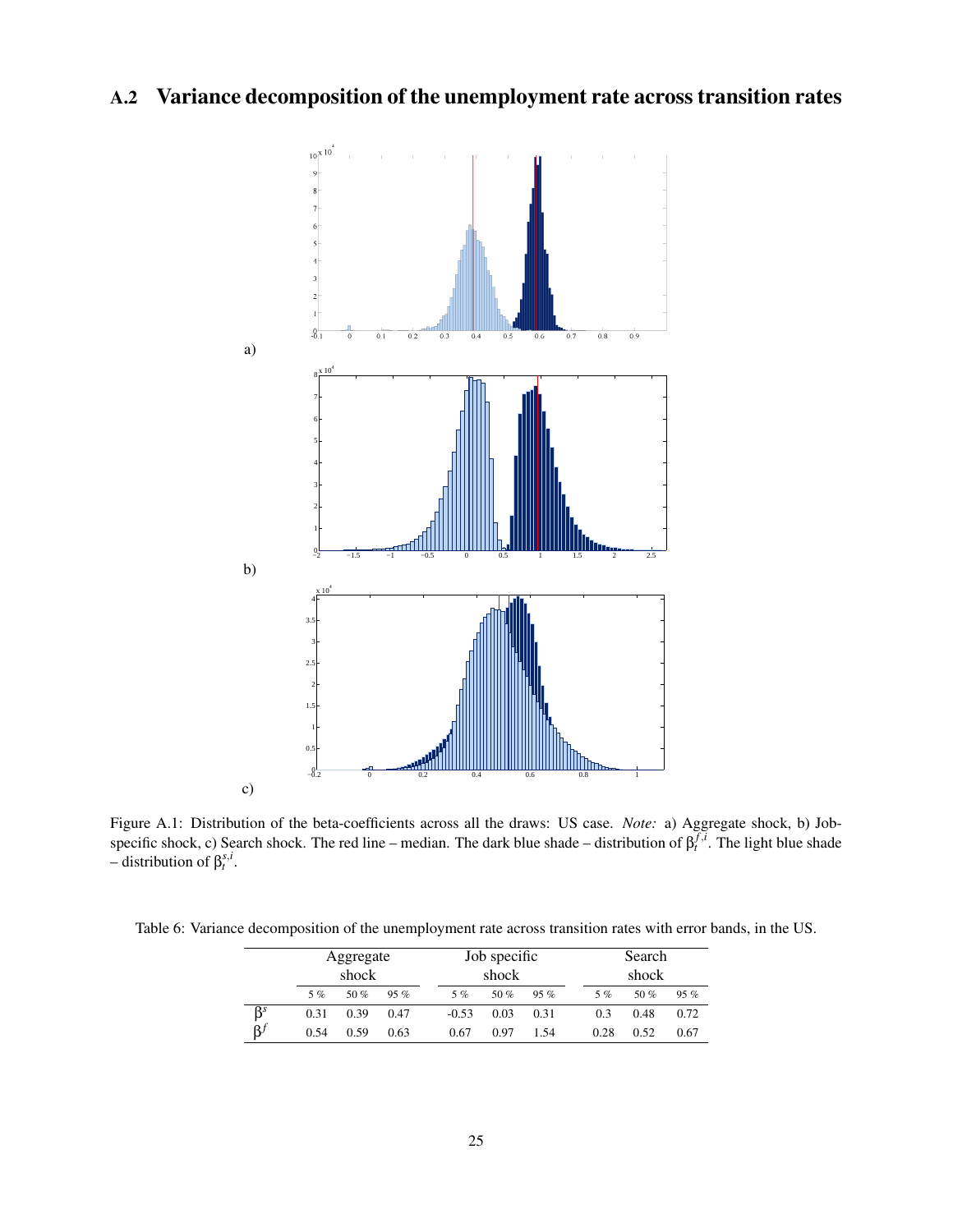# <span id="page-26-2"></span><span id="page-26-1"></span>A.2 Variance decomposition of the unemployment rate across transition rates



Figure A.1: Distribution of the beta-coefficients across all the draws: US case. *Note:* a) Aggregate shock, b) Jobspecific shock, c) Search shock. The red line – median. The dark blue shade – distribution of β *f*,*i t* . The light blue shade  $\overline{\phantom{a}}$  distribution of  $\beta_t^{s,i}$ .

<span id="page-26-0"></span>Table 6: Variance decomposition of the unemployment rate across transition rates with error bands, in the US.

|                                   | Aggregate<br>shock |        |        |         | Job specific<br>shock |        | Search<br>shock |        |        |  |
|-----------------------------------|--------------------|--------|--------|---------|-----------------------|--------|-----------------|--------|--------|--|
|                                   | 5%                 | 50 $%$ | $95\%$ | 5%      | 50 %                  | $95\%$ | 5%              | 50 $%$ | $95\%$ |  |
| $\overline{\beta}^s$<br>$\beta^f$ | 0.31               | 0.39   | 0.47   | $-0.53$ | 0.03                  | 0.31   | 0.3             | 0.48   | 0.72   |  |
|                                   | 0.54               | 0.59   | 0.63   | 0.67    | 0.97                  | 1.54   | 0.28            | 0.52   | 0.67   |  |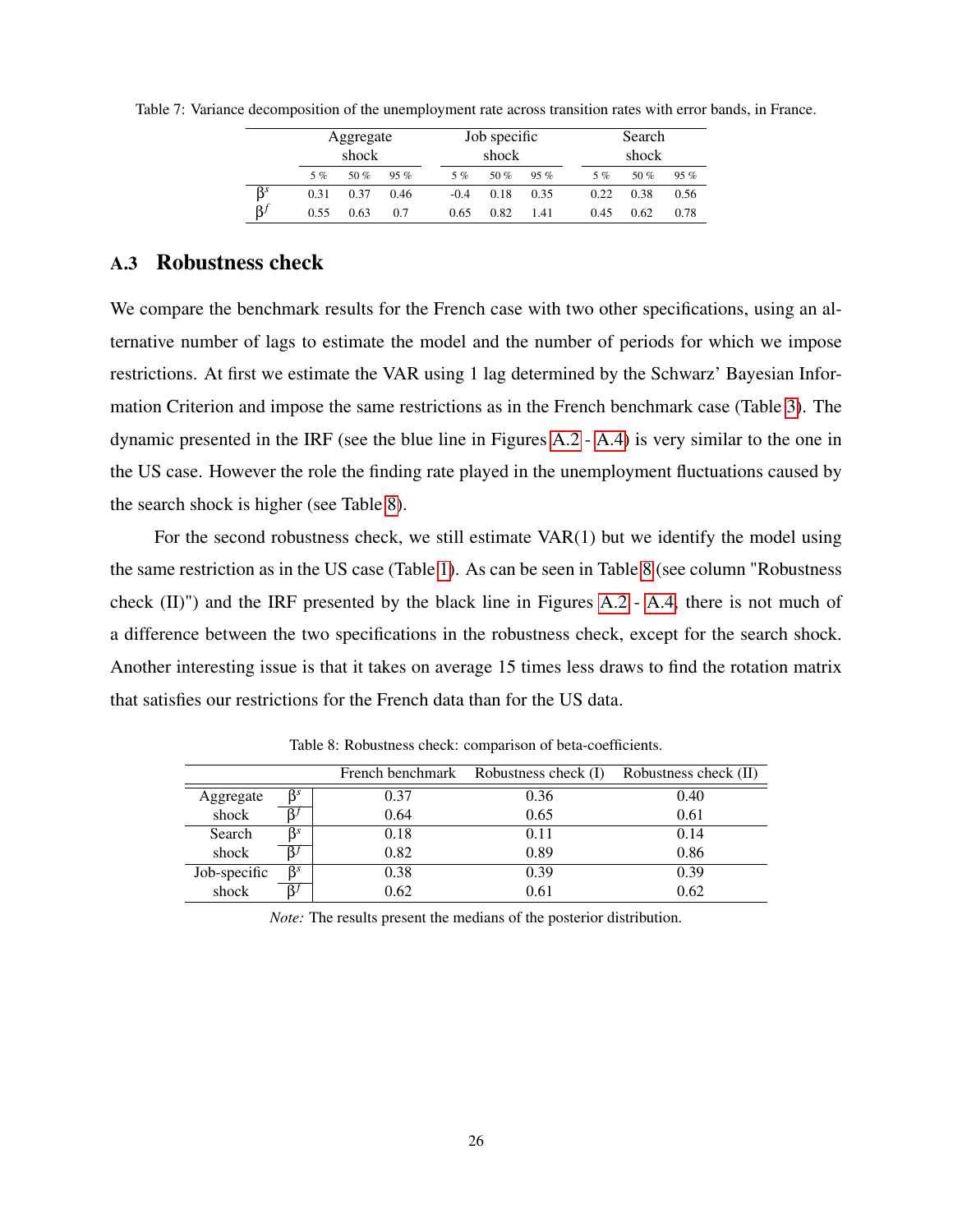Table 7: Variance decomposition of the unemployment rate across transition rates with error bands, in France.

|           | Aggregate<br>shock |        |        |        | Job specific<br>shock |        | Search<br>shock |      |      |  |
|-----------|--------------------|--------|--------|--------|-----------------------|--------|-----------------|------|------|--|
|           | 5%                 | 50 $%$ | $95\%$ | $5\%$  | 50 %                  | $95\%$ | $5\%$           | 50 % | 95%  |  |
| $\beta^s$ | 0.31               | 0.37   | 0.46   | $-0.4$ | 0.18                  | 0.35   | 0.22            | 0.38 | 0.56 |  |
| $\beta$   | 0.55               | 0.63   | 0.7    | 0.65   | 0.82                  | 1.41   | 0.45            | 0.62 | 0.78 |  |

#### <span id="page-27-0"></span>A.3 Robustness check

We compare the benchmark results for the French case with two other specifications, using an alternative number of lags to estimate the model and the number of periods for which we impose restrictions. At first we estimate the VAR using 1 lag determined by the Schwarz' Bayesian Information Criterion and impose the same restrictions as in the French benchmark case (Table [3\)](#page-19-0). The dynamic presented in the IRF (see the blue line in Figures [A.2](#page-28-0) - [A.4\)](#page-29-0) is very similar to the one in the US case. However the role the finding rate played in the unemployment fluctuations caused by the search shock is higher (see Table [8\)](#page-27-1).

For the second robustness check, we still estimate  $VAR(1)$  but we identify the model using the same restriction as in the US case (Table [1\)](#page-12-0). As can be seen in Table [8](#page-27-1) (see column "Robustness check (II)") and the IRF presented by the black line in Figures [A.2](#page-28-0) - [A.4,](#page-29-0) there is not much of a difference between the two specifications in the robustness check, except for the search shock. Another interesting issue is that it takes on average 15 times less draws to find the rotation matrix that satisfies our restrictions for the French data than for the US data.

<span id="page-27-1"></span>

|              |           |      | French benchmark Robustness check (I) | Robustness check (II) |
|--------------|-----------|------|---------------------------------------|-----------------------|
| Aggregate    | $\beta^s$ | 0.37 | 0.36                                  | 0.40                  |
| shock        |           | 0.64 | 0.65                                  | 0.61                  |
| Search       | ß         | 0.18 | 0.11                                  | 0.14                  |
| shock        |           | 0.82 | 0.89                                  | 0.86                  |
| Job-specific | $\beta^s$ | 0.38 | 0.39                                  | 0.39                  |
| shock        |           | 0.62 | 0.61                                  | 0.62                  |

Table 8: Robustness check: comparison of beta-coefficients.

*Note:* The results present the medians of the posterior distribution.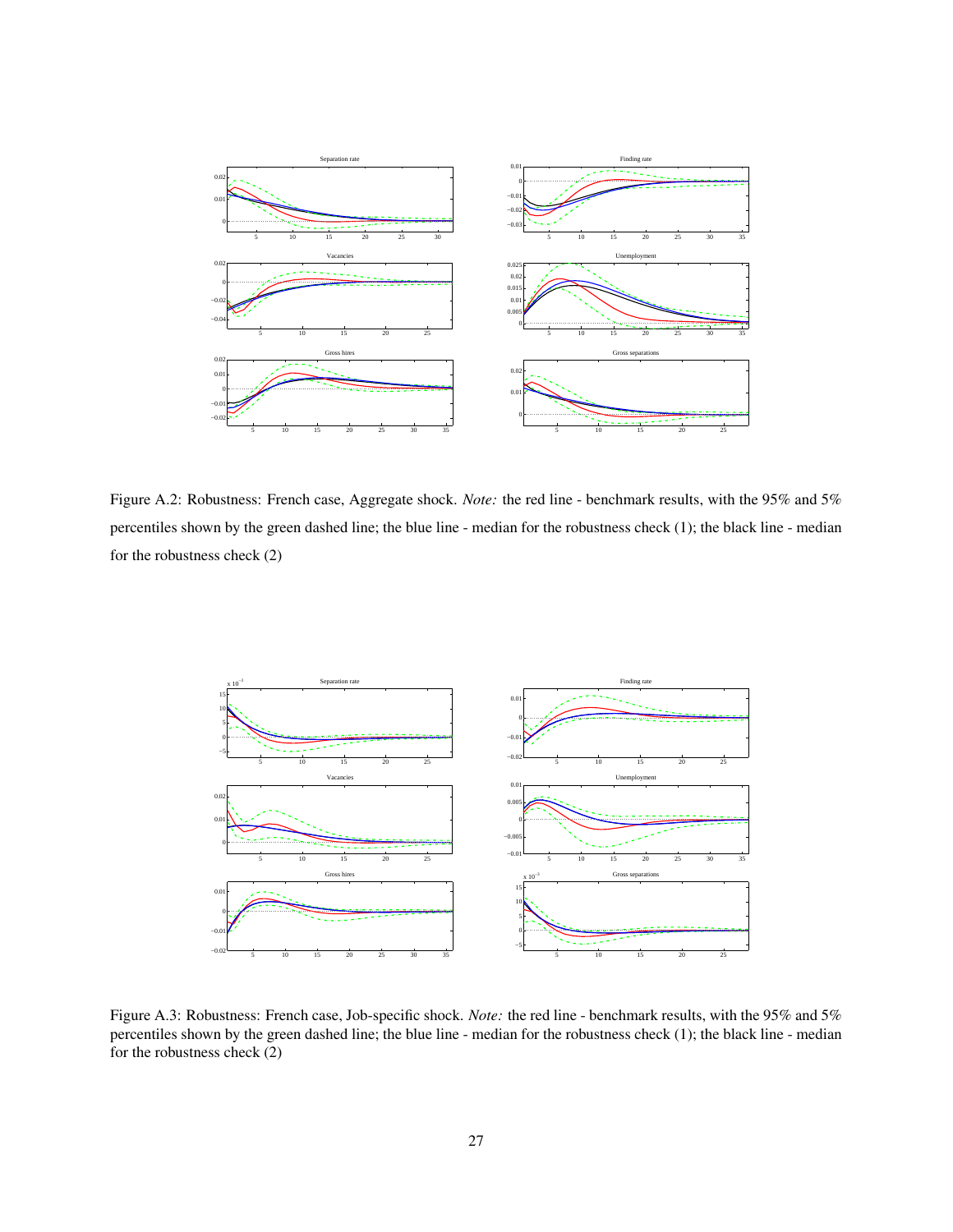<span id="page-28-0"></span>

Figure A.2: Robustness: French case, Aggregate shock. *Note:* the red line - benchmark results, with the 95% and 5% percentiles shown by the green dashed line; the blue line - median for the robustness check (1); the black line - median for the robustness check (2)



Figure A.3: Robustness: French case, Job-specific shock. *Note:* the red line - benchmark results, with the 95% and 5% percentiles shown by the green dashed line; the blue line - median for the robustness check (1); the black line - median for the robustness check (2)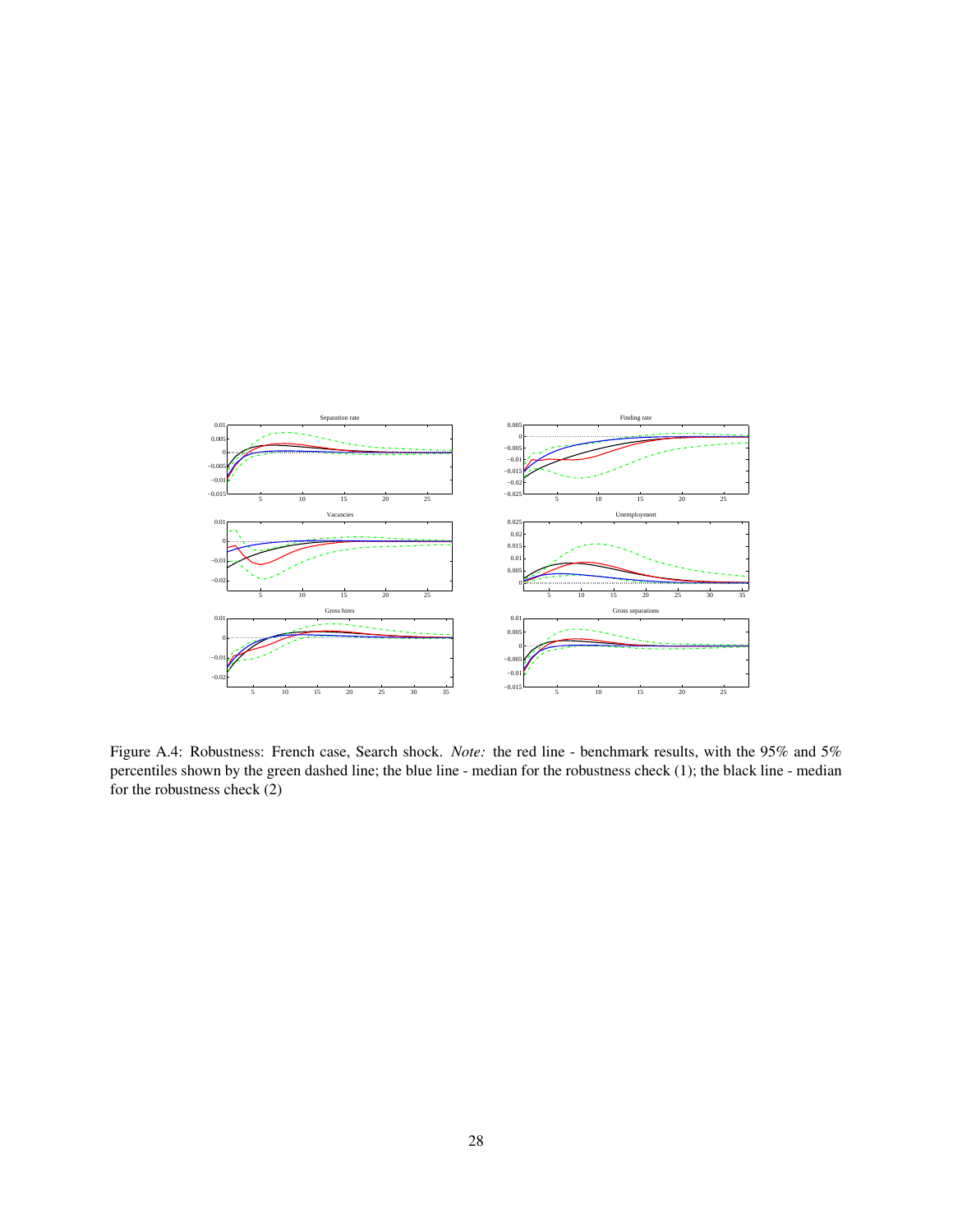<span id="page-29-0"></span>

Figure A.4: Robustness: French case, Search shock. *Note:* the red line - benchmark results, with the 95% and 5% percentiles shown by the green dashed line; the blue line - median for the robustness check (1); the black line - median for the robustness check (2)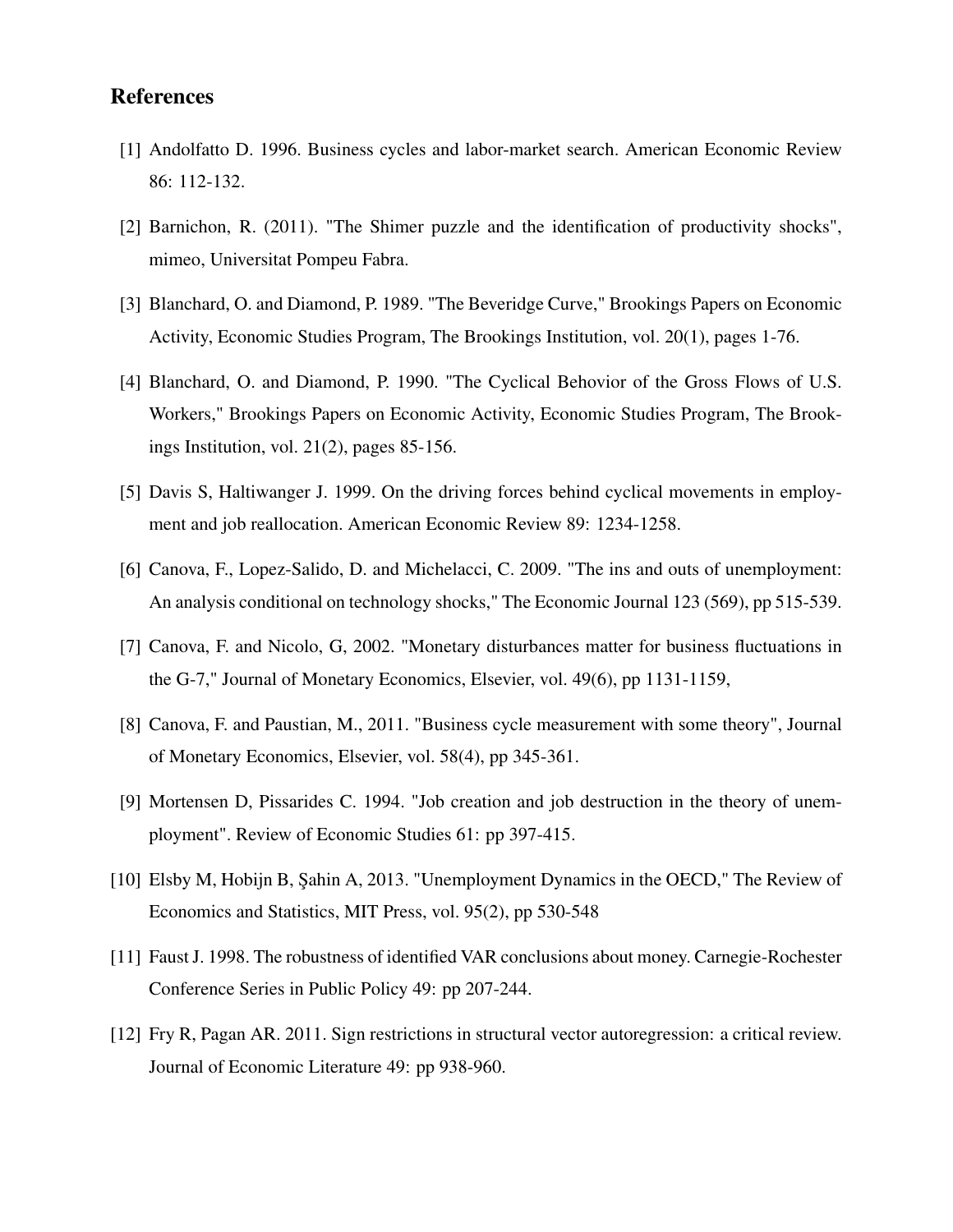### References

- [1] Andolfatto D. 1996. Business cycles and labor-market search. American Economic Review 86: 112-132.
- [2] Barnichon, R. (2011). "The Shimer puzzle and the identification of productivity shocks", mimeo, Universitat Pompeu Fabra.
- [3] Blanchard, O. and Diamond, P. 1989. "The Beveridge Curve," Brookings Papers on Economic Activity, Economic Studies Program, The Brookings Institution, vol. 20(1), pages 1-76.
- [4] Blanchard, O. and Diamond, P. 1990. "The Cyclical Behovior of the Gross Flows of U.S. Workers," Brookings Papers on Economic Activity, Economic Studies Program, The Brookings Institution, vol. 21(2), pages 85-156.
- [5] Davis S, Haltiwanger J. 1999. On the driving forces behind cyclical movements in employment and job reallocation. American Economic Review 89: 1234-1258.
- [6] Canova, F., Lopez-Salido, D. and Michelacci, C. 2009. "The ins and outs of unemployment: An analysis conditional on technology shocks," The Economic Journal 123 (569), pp 515-539.
- [7] Canova, F. and Nicolo, G, 2002. "Monetary disturbances matter for business fluctuations in the G-7," Journal of Monetary Economics, Elsevier, vol. 49(6), pp 1131-1159,
- [8] Canova, F. and Paustian, M., 2011. "Business cycle measurement with some theory", Journal of Monetary Economics, Elsevier, vol. 58(4), pp 345-361.
- [9] Mortensen D, Pissarides C. 1994. "Job creation and job destruction in the theory of unemployment". Review of Economic Studies 61: pp 397-415.
- [10] Elsby M, Hobijn B, Şahin A, 2013. "Unemployment Dynamics in the OECD," The Review of Economics and Statistics, MIT Press, vol. 95(2), pp 530-548
- [11] Faust J. 1998. The robustness of identified VAR conclusions about money. Carnegie-Rochester Conference Series in Public Policy 49: pp 207-244.
- [12] Fry R, Pagan AR. 2011. Sign restrictions in structural vector autoregression: a critical review. Journal of Economic Literature 49: pp 938-960.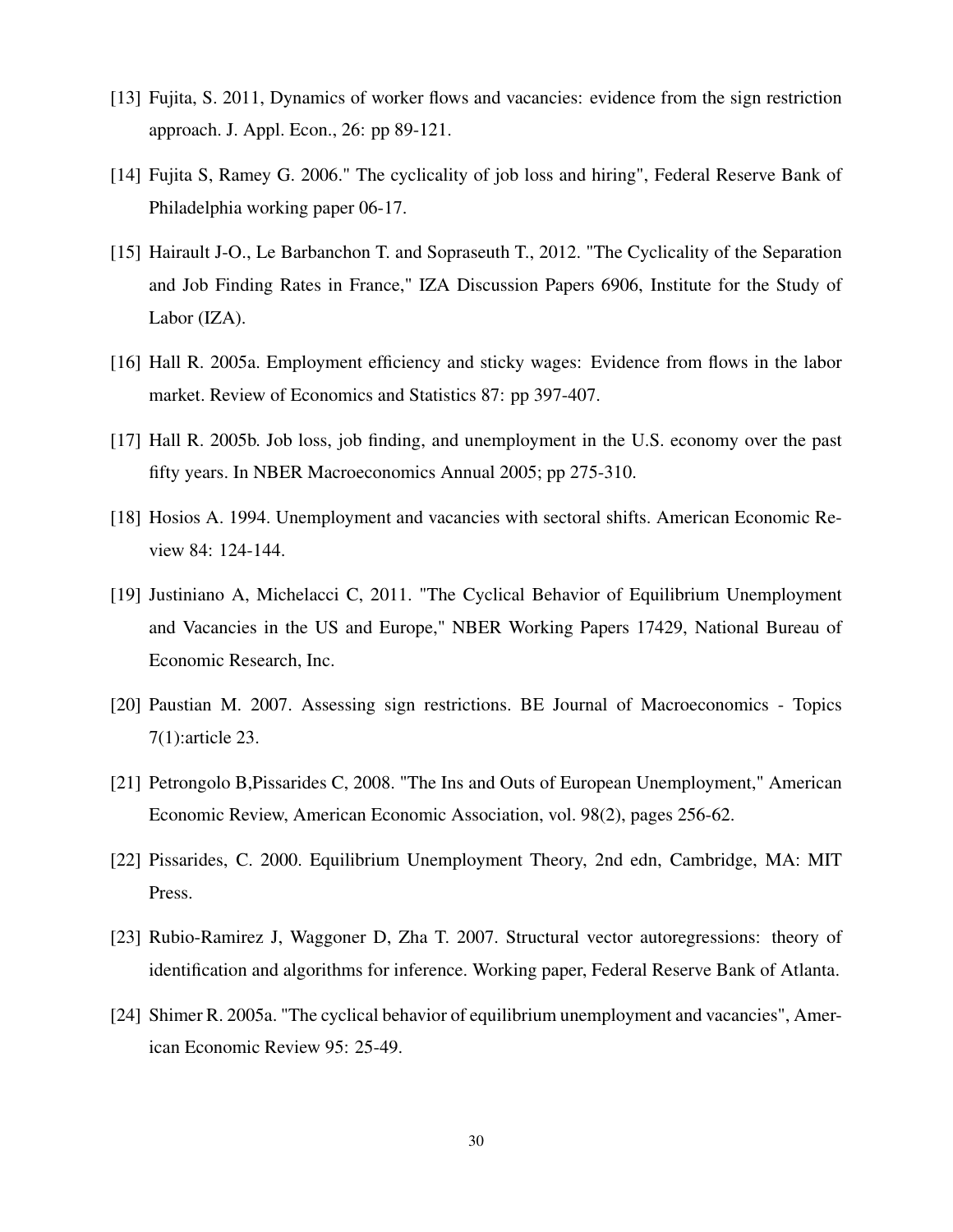- [13] Fujita, S. 2011, Dynamics of worker flows and vacancies: evidence from the sign restriction approach. J. Appl. Econ., 26: pp 89-121.
- [14] Fujita S, Ramey G. 2006." The cyclicality of job loss and hiring", Federal Reserve Bank of Philadelphia working paper 06-17.
- [15] Hairault J-O., Le Barbanchon T. and Sopraseuth T., 2012. "The Cyclicality of the Separation and Job Finding Rates in France," IZA Discussion Papers 6906, Institute for the Study of Labor (IZA).
- [16] Hall R. 2005a. Employment efficiency and sticky wages: Evidence from flows in the labor market. Review of Economics and Statistics 87: pp 397-407.
- [17] Hall R. 2005b. Job loss, job finding, and unemployment in the U.S. economy over the past fifty years. In NBER Macroeconomics Annual 2005; pp 275-310.
- [18] Hosios A. 1994. Unemployment and vacancies with sectoral shifts. American Economic Review 84: 124-144.
- [19] Justiniano A, Michelacci C, 2011. "The Cyclical Behavior of Equilibrium Unemployment and Vacancies in the US and Europe," NBER Working Papers 17429, National Bureau of Economic Research, Inc.
- [20] Paustian M. 2007. Assessing sign restrictions. BE Journal of Macroeconomics Topics 7(1):article 23.
- [21] Petrongolo B,Pissarides C, 2008. "The Ins and Outs of European Unemployment," American Economic Review, American Economic Association, vol. 98(2), pages 256-62.
- [22] Pissarides, C. 2000. Equilibrium Unemployment Theory, 2nd edn, Cambridge, MA: MIT Press.
- [23] Rubio-Ramirez J, Waggoner D, Zha T. 2007. Structural vector autoregressions: theory of identification and algorithms for inference. Working paper, Federal Reserve Bank of Atlanta.
- [24] Shimer R. 2005a. "The cyclical behavior of equilibrium unemployment and vacancies", American Economic Review 95: 25-49.